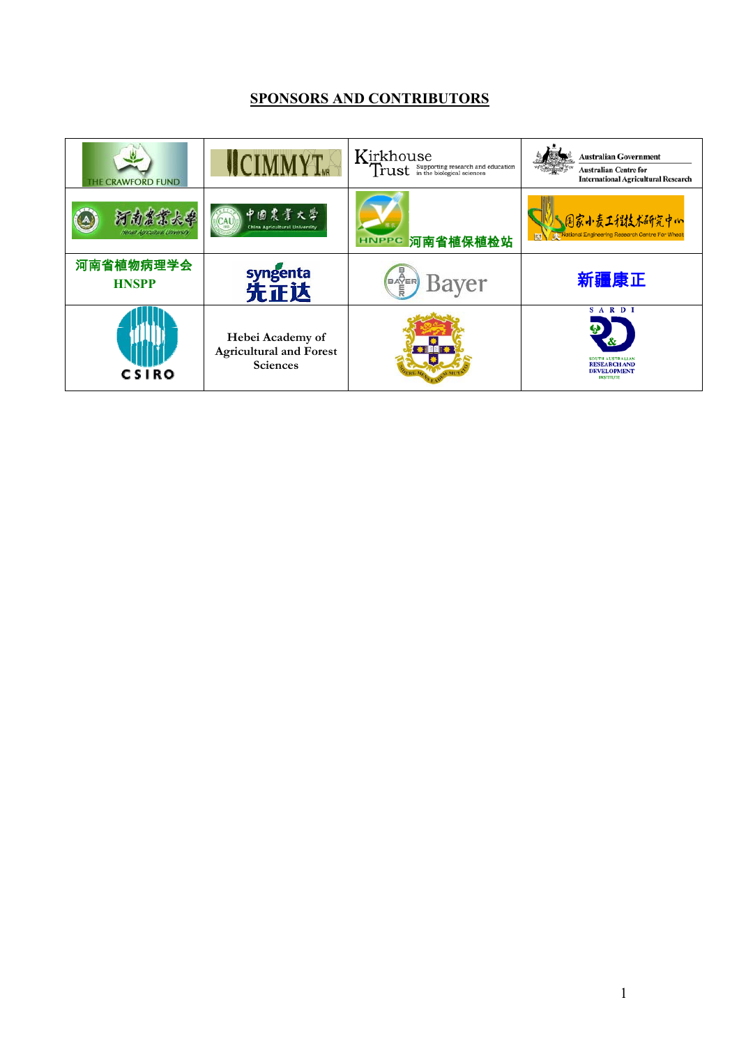# **SPONSORS AND CONTRIBUTORS**

| <b>HE CRAWFORD FUND</b>   | <b>ICIMMYT</b>                                                        | Kirkhouse<br>Trust supporting research and education | <b>Australian Government</b><br><b>Australian Centre for</b><br><b>International Agricultural Research</b> |
|---------------------------|-----------------------------------------------------------------------|------------------------------------------------------|------------------------------------------------------------------------------------------------------------|
| 南嵩震大学                     | 中國農業大學<br><b>China Agricultural University</b>                        | HNPPC 河南省植保植检站                                       | ∫国家小麦工程技术研究中灬<br><b>B. National Engineering Research Centre For Wheat</b>                                  |
| 河南省植物病理学会<br><b>HNSPP</b> | syngenta<br>先正达                                                       | Bayer                                                | 新疆康正                                                                                                       |
| <b>CSIRO</b>              | Hebei Academy of<br><b>Agricultural and Forest</b><br><b>Sciences</b> |                                                      | <b>SARDI</b><br>SOUTH AUSTRALIAN<br><b>RESEARCH AND</b><br><b>DEVELOPMENT</b><br><b>INSTITUTE</b>          |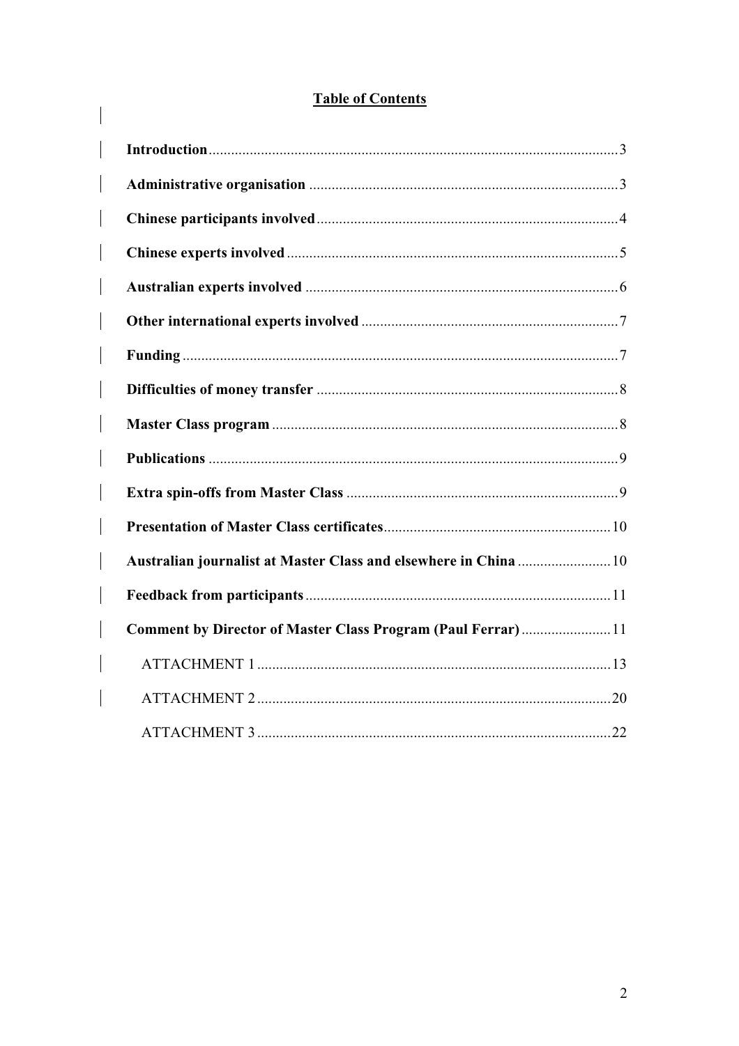# **Table of Contents**

| Comment by Director of Master Class Program (Paul Ferrar)11 |  |
|-------------------------------------------------------------|--|
|                                                             |  |
|                                                             |  |
|                                                             |  |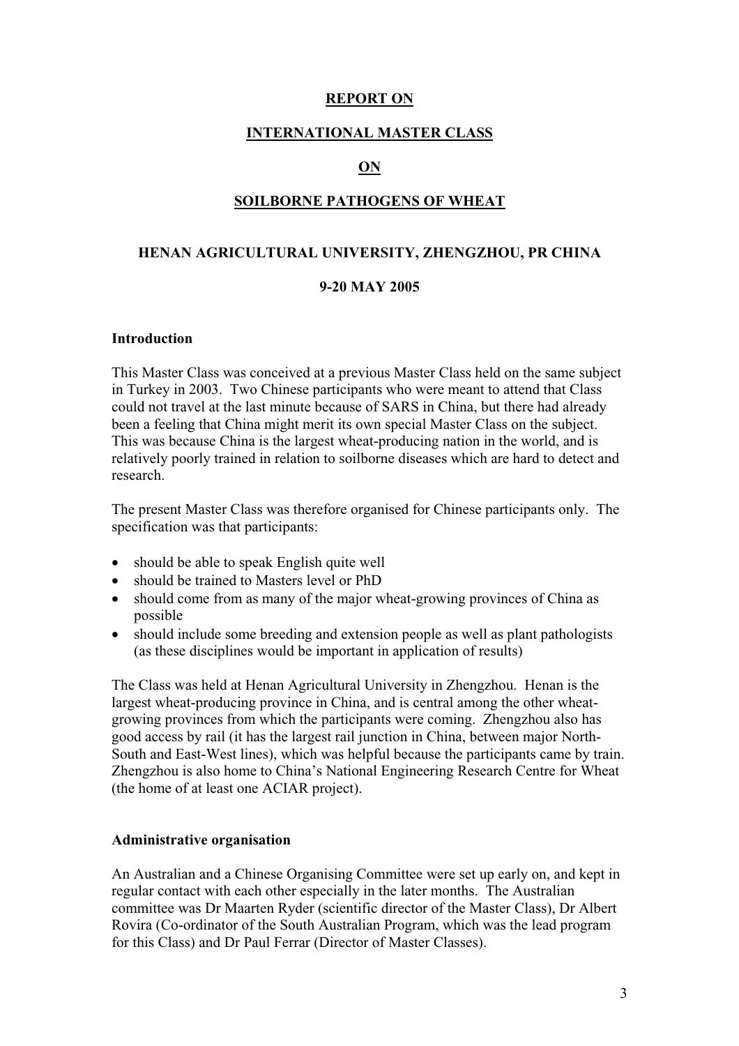#### **REPORT ON**

#### **INTERNATIONAL MASTER CLASS**

#### **ON**

#### **SOILBORNE PATHOGENS OF WHEAT**

#### **HENAN AGRICULTURAL UNIVERSITY, ZHENGZHOU, PR CHINA**

#### **9-20 MAY 2005**

#### **Introduction**

This Master Class was conceived at a previous Master Class held on the same subject in Turkey in 2003. Two Chinese participants who were meant to attend that Class could not travel at the last minute because of SARS in China, but there had already been a feeling that China might merit its own special Master Class on the subject. This was because China is the largest wheat-producing nation in the world, and is relatively poorly trained in relation to soilborne diseases which are hard to detect and research.

The present Master Class was therefore organised for Chinese participants only. The specification was that participants:

- should be able to speak English quite well
- should be trained to Masters level or PhD
- should come from as many of the major wheat-growing provinces of China as possible
- should include some breeding and extension people as well as plant pathologists (as these disciplines would be important in application of results)

The Class was held at Henan Agricultural University in Zhengzhou. Henan is the largest wheat-producing province in China, and is central among the other wheatgrowing provinces from which the participants were coming. Zhengzhou also has good access by rail (it has the largest rail junction in China, between major North-South and East-West lines), which was helpful because the participants came by train. Zhengzhou is also home to China's National Engineering Research Centre for Wheat (the home of at least one ACIAR project).

#### **Administrative organisation**

An Australian and a Chinese Organising Committee were set up early on, and kept in regular contact with each other especially in the later months. The Australian committee was Dr Maarten Ryder (scientific director of the Master Class), Dr Albert Rovira (Co-ordinator of the South Australian Program, which was the lead program for this Class) and Dr Paul Ferrar (Director of Master Classes).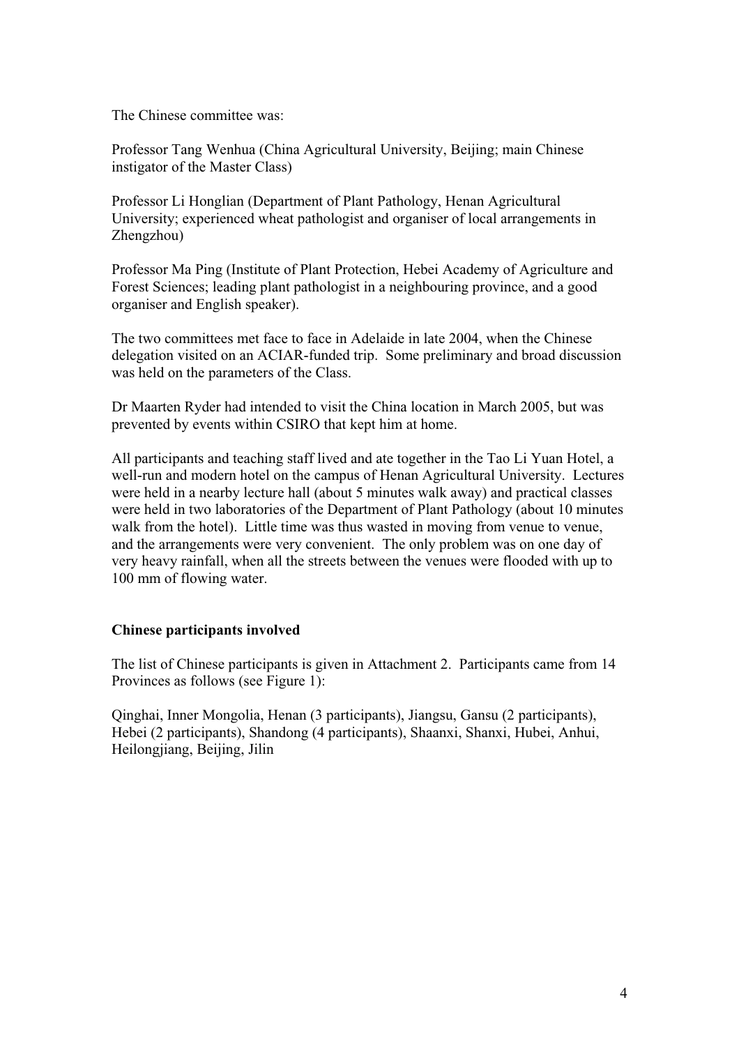The Chinese committee was:

Professor Tang Wenhua (China Agricultural University, Beijing; main Chinese instigator of the Master Class)

Professor Li Honglian (Department of Plant Pathology, Henan Agricultural University; experienced wheat pathologist and organiser of local arrangements in Zhengzhou)

Professor Ma Ping (Institute of Plant Protection, Hebei Academy of Agriculture and Forest Sciences; leading plant pathologist in a neighbouring province, and a good organiser and English speaker).

The two committees met face to face in Adelaide in late 2004, when the Chinese delegation visited on an ACIAR-funded trip. Some preliminary and broad discussion was held on the parameters of the Class.

Dr Maarten Ryder had intended to visit the China location in March 2005, but was prevented by events within CSIRO that kept him at home.

All participants and teaching staff lived and ate together in the Tao Li Yuan Hotel, a well-run and modern hotel on the campus of Henan Agricultural University. Lectures were held in a nearby lecture hall (about 5 minutes walk away) and practical classes were held in two laboratories of the Department of Plant Pathology (about 10 minutes walk from the hotel). Little time was thus wasted in moving from venue to venue, and the arrangements were very convenient. The only problem was on one day of very heavy rainfall, when all the streets between the venues were flooded with up to 100 mm of flowing water.

#### **Chinese participants involved**

The list of Chinese participants is given in Attachment 2. Participants came from 14 Provinces as follows (see Figure 1):

Qinghai, Inner Mongolia, Henan (3 participants), Jiangsu, Gansu (2 participants), Hebei (2 participants), Shandong (4 participants), Shaanxi, Shanxi, Hubei, Anhui, Heilongjiang, Beijing, Jilin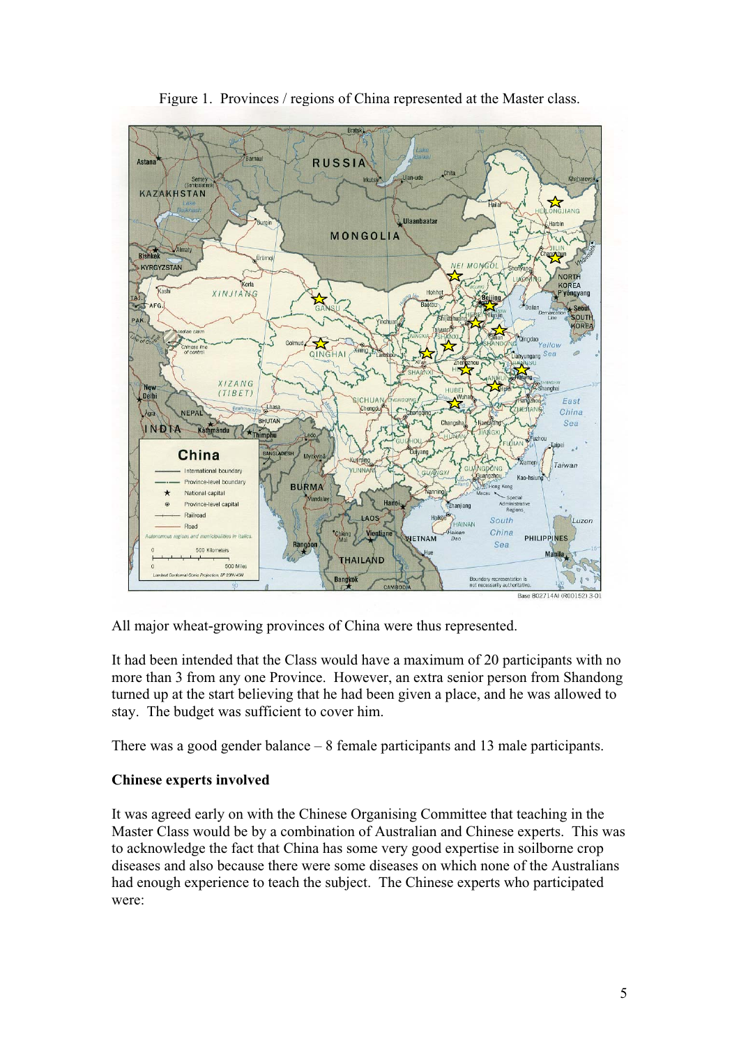

Figure 1. Provinces / regions of China represented at the Master class.

All major wheat-growing provinces of China were thus represented.

It had been intended that the Class would have a maximum of 20 participants with no more than 3 from any one Province. However, an extra senior person from Shandong turned up at the start believing that he had been given a place, and he was allowed to stay. The budget was sufficient to cover him.

There was a good gender balance – 8 female participants and 13 male participants.

### **Chinese experts involved**

It was agreed early on with the Chinese Organising Committee that teaching in the Master Class would be by a combination of Australian and Chinese experts. This was to acknowledge the fact that China has some very good expertise in soilborne crop diseases and also because there were some diseases on which none of the Australians had enough experience to teach the subject. The Chinese experts who participated were: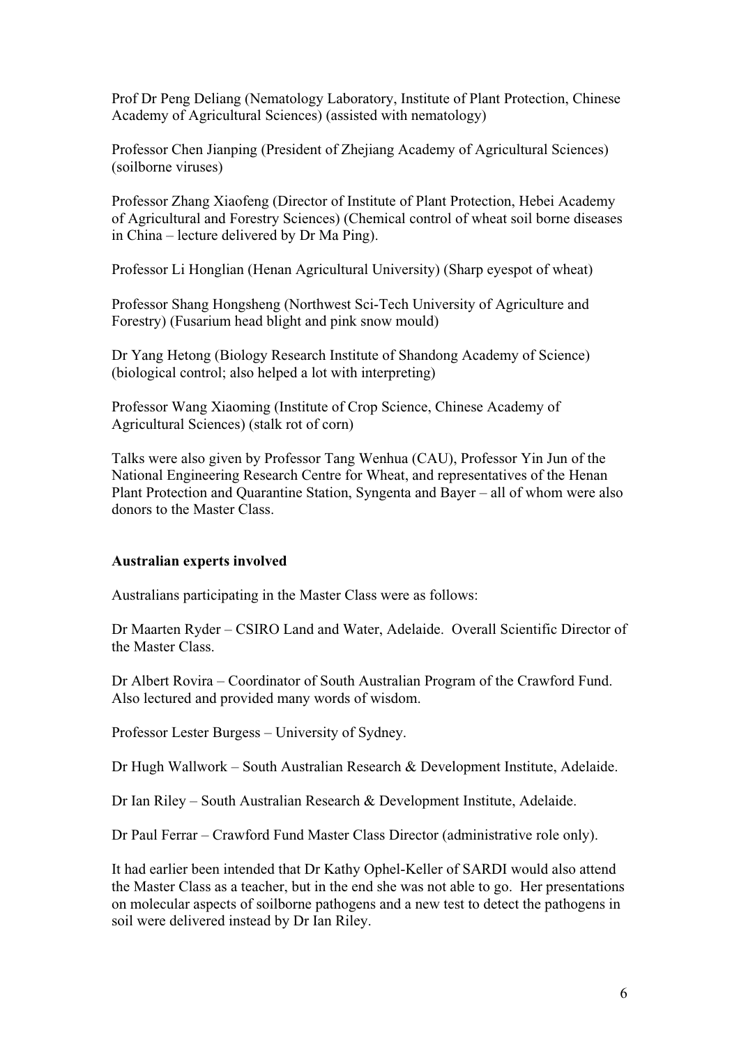Prof Dr Peng Deliang (Nematology Laboratory, Institute of Plant Protection, Chinese Academy of Agricultural Sciences) (assisted with nematology)

Professor Chen Jianping (President of Zhejiang Academy of Agricultural Sciences) (soilborne viruses)

Professor Zhang Xiaofeng (Director of Institute of Plant Protection, Hebei Academy of Agricultural and Forestry Sciences) (Chemical control of wheat soil borne diseases in China – lecture delivered by Dr Ma Ping).

Professor Li Honglian (Henan Agricultural University) (Sharp eyespot of wheat)

Professor Shang Hongsheng (Northwest Sci-Tech University of Agriculture and Forestry) (Fusarium head blight and pink snow mould)

Dr Yang Hetong (Biology Research Institute of Shandong Academy of Science) (biological control; also helped a lot with interpreting)

Professor Wang Xiaoming (Institute of Crop Science, Chinese Academy of Agricultural Sciences) (stalk rot of corn)

Talks were also given by Professor Tang Wenhua (CAU), Professor Yin Jun of the National Engineering Research Centre for Wheat, and representatives of the Henan Plant Protection and Quarantine Station, Syngenta and Bayer – all of whom were also donors to the Master Class.

#### **Australian experts involved**

Australians participating in the Master Class were as follows:

Dr Maarten Ryder – CSIRO Land and Water, Adelaide. Overall Scientific Director of the Master Class.

Dr Albert Rovira – Coordinator of South Australian Program of the Crawford Fund. Also lectured and provided many words of wisdom.

Professor Lester Burgess – University of Sydney.

Dr Hugh Wallwork – South Australian Research & Development Institute, Adelaide.

Dr Ian Riley – South Australian Research & Development Institute, Adelaide.

Dr Paul Ferrar – Crawford Fund Master Class Director (administrative role only).

It had earlier been intended that Dr Kathy Ophel-Keller of SARDI would also attend the Master Class as a teacher, but in the end she was not able to go. Her presentations on molecular aspects of soilborne pathogens and a new test to detect the pathogens in soil were delivered instead by Dr Ian Riley.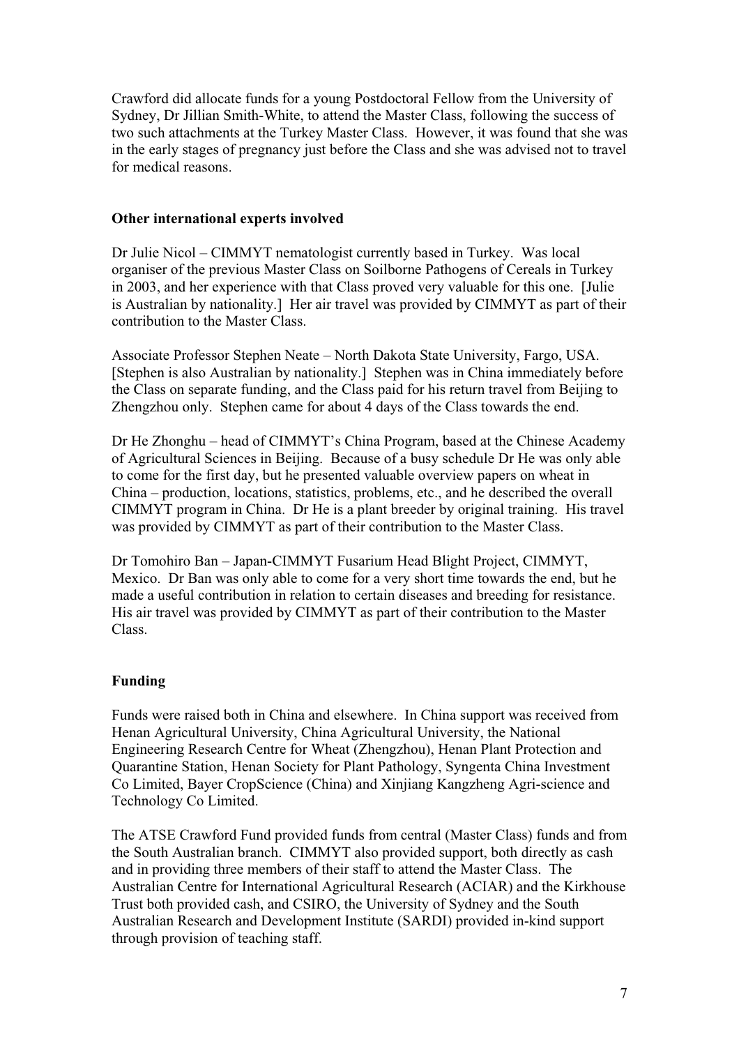Crawford did allocate funds for a young Postdoctoral Fellow from the University of Sydney, Dr Jillian Smith-White, to attend the Master Class, following the success of two such attachments at the Turkey Master Class. However, it was found that she was in the early stages of pregnancy just before the Class and she was advised not to travel for medical reasons.

### **Other international experts involved**

Dr Julie Nicol – CIMMYT nematologist currently based in Turkey. Was local organiser of the previous Master Class on Soilborne Pathogens of Cereals in Turkey in 2003, and her experience with that Class proved very valuable for this one. [Julie is Australian by nationality.] Her air travel was provided by CIMMYT as part of their contribution to the Master Class.

Associate Professor Stephen Neate – North Dakota State University, Fargo, USA. [Stephen is also Australian by nationality.] Stephen was in China immediately before the Class on separate funding, and the Class paid for his return travel from Beijing to Zhengzhou only. Stephen came for about 4 days of the Class towards the end.

Dr He Zhonghu – head of CIMMYT's China Program, based at the Chinese Academy of Agricultural Sciences in Beijing. Because of a busy schedule Dr He was only able to come for the first day, but he presented valuable overview papers on wheat in China – production, locations, statistics, problems, etc., and he described the overall CIMMYT program in China. Dr He is a plant breeder by original training. His travel was provided by CIMMYT as part of their contribution to the Master Class.

Dr Tomohiro Ban – Japan-CIMMYT Fusarium Head Blight Project, CIMMYT, Mexico. Dr Ban was only able to come for a very short time towards the end, but he made a useful contribution in relation to certain diseases and breeding for resistance. His air travel was provided by CIMMYT as part of their contribution to the Master Class.

### **Funding**

Funds were raised both in China and elsewhere. In China support was received from Henan Agricultural University, China Agricultural University, the National Engineering Research Centre for Wheat (Zhengzhou), Henan Plant Protection and Quarantine Station, Henan Society for Plant Pathology, Syngenta China Investment Co Limited, Bayer CropScience (China) and Xinjiang Kangzheng Agri-science and Technology Co Limited.

The ATSE Crawford Fund provided funds from central (Master Class) funds and from the South Australian branch. CIMMYT also provided support, both directly as cash and in providing three members of their staff to attend the Master Class. The Australian Centre for International Agricultural Research (ACIAR) and the Kirkhouse Trust both provided cash, and CSIRO, the University of Sydney and the South Australian Research and Development Institute (SARDI) provided in-kind support through provision of teaching staff.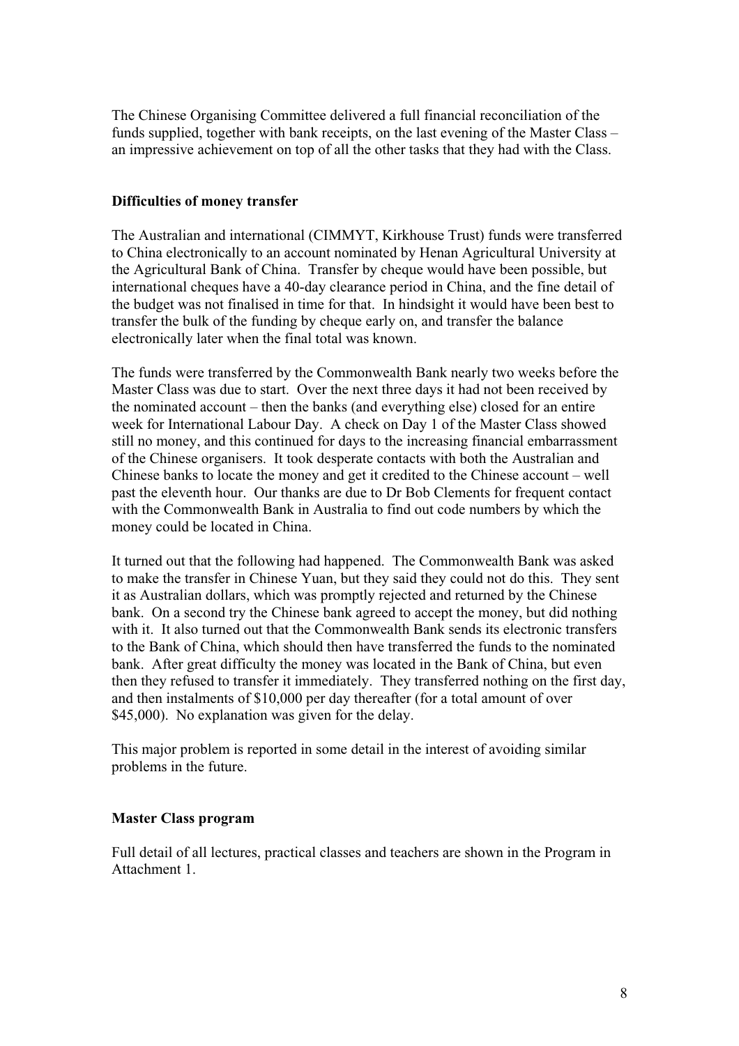The Chinese Organising Committee delivered a full financial reconciliation of the funds supplied, together with bank receipts, on the last evening of the Master Class – an impressive achievement on top of all the other tasks that they had with the Class.

### **Difficulties of money transfer**

The Australian and international (CIMMYT, Kirkhouse Trust) funds were transferred to China electronically to an account nominated by Henan Agricultural University at the Agricultural Bank of China. Transfer by cheque would have been possible, but international cheques have a 40-day clearance period in China, and the fine detail of the budget was not finalised in time for that. In hindsight it would have been best to transfer the bulk of the funding by cheque early on, and transfer the balance electronically later when the final total was known.

The funds were transferred by the Commonwealth Bank nearly two weeks before the Master Class was due to start. Over the next three days it had not been received by the nominated account – then the banks (and everything else) closed for an entire week for International Labour Day. A check on Day 1 of the Master Class showed still no money, and this continued for days to the increasing financial embarrassment of the Chinese organisers. It took desperate contacts with both the Australian and Chinese banks to locate the money and get it credited to the Chinese account – well past the eleventh hour. Our thanks are due to Dr Bob Clements for frequent contact with the Commonwealth Bank in Australia to find out code numbers by which the money could be located in China.

It turned out that the following had happened. The Commonwealth Bank was asked to make the transfer in Chinese Yuan, but they said they could not do this. They sent it as Australian dollars, which was promptly rejected and returned by the Chinese bank. On a second try the Chinese bank agreed to accept the money, but did nothing with it. It also turned out that the Commonwealth Bank sends its electronic transfers to the Bank of China, which should then have transferred the funds to the nominated bank. After great difficulty the money was located in the Bank of China, but even then they refused to transfer it immediately. They transferred nothing on the first day, and then instalments of \$10,000 per day thereafter (for a total amount of over \$45,000). No explanation was given for the delay.

This major problem is reported in some detail in the interest of avoiding similar problems in the future.

#### **Master Class program**

Full detail of all lectures, practical classes and teachers are shown in the Program in Attachment 1.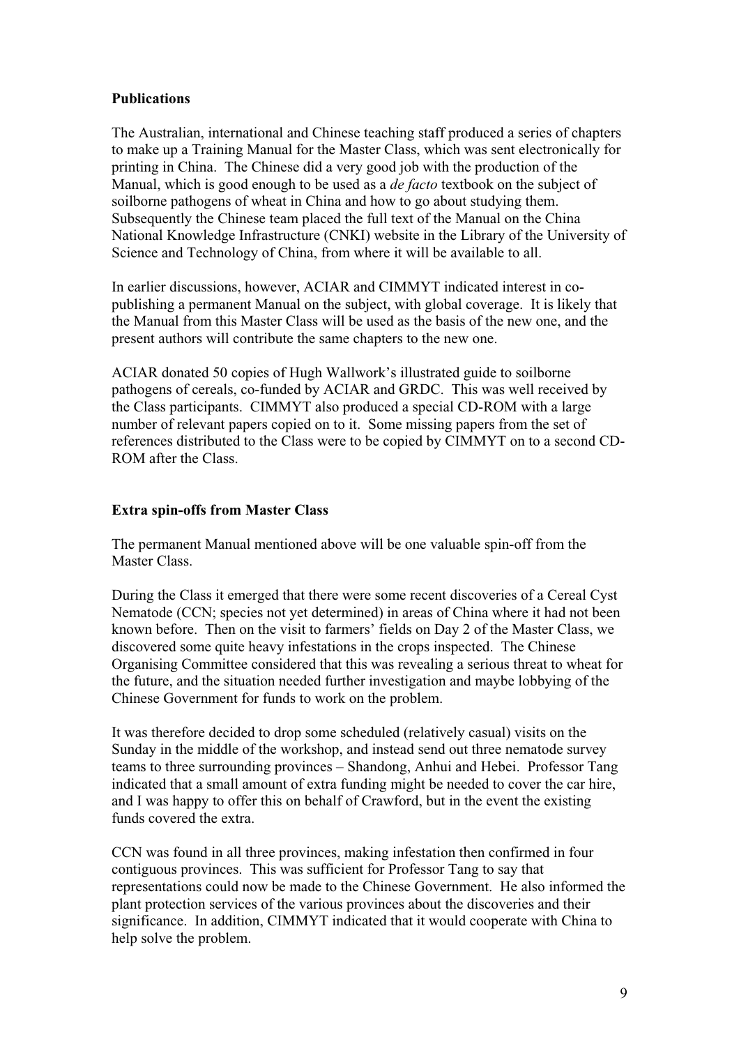### **Publications**

The Australian, international and Chinese teaching staff produced a series of chapters to make up a Training Manual for the Master Class, which was sent electronically for printing in China. The Chinese did a very good job with the production of the Manual, which is good enough to be used as a *de facto* textbook on the subject of soilborne pathogens of wheat in China and how to go about studying them. Subsequently the Chinese team placed the full text of the Manual on the China National Knowledge Infrastructure (CNKI) website in the Library of the University of Science and Technology of China, from where it will be available to all.

In earlier discussions, however, ACIAR and CIMMYT indicated interest in copublishing a permanent Manual on the subject, with global coverage. It is likely that the Manual from this Master Class will be used as the basis of the new one, and the present authors will contribute the same chapters to the new one.

ACIAR donated 50 copies of Hugh Wallwork's illustrated guide to soilborne pathogens of cereals, co-funded by ACIAR and GRDC. This was well received by the Class participants. CIMMYT also produced a special CD-ROM with a large number of relevant papers copied on to it. Some missing papers from the set of references distributed to the Class were to be copied by CIMMYT on to a second CD-ROM after the Class.

### **Extra spin-offs from Master Class**

The permanent Manual mentioned above will be one valuable spin-off from the Master Class.

During the Class it emerged that there were some recent discoveries of a Cereal Cyst Nematode (CCN; species not yet determined) in areas of China where it had not been known before. Then on the visit to farmers' fields on Day 2 of the Master Class, we discovered some quite heavy infestations in the crops inspected. The Chinese Organising Committee considered that this was revealing a serious threat to wheat for the future, and the situation needed further investigation and maybe lobbying of the Chinese Government for funds to work on the problem.

It was therefore decided to drop some scheduled (relatively casual) visits on the Sunday in the middle of the workshop, and instead send out three nematode survey teams to three surrounding provinces – Shandong, Anhui and Hebei. Professor Tang indicated that a small amount of extra funding might be needed to cover the car hire, and I was happy to offer this on behalf of Crawford, but in the event the existing funds covered the extra.

CCN was found in all three provinces, making infestation then confirmed in four contiguous provinces. This was sufficient for Professor Tang to say that representations could now be made to the Chinese Government. He also informed the plant protection services of the various provinces about the discoveries and their significance. In addition, CIMMYT indicated that it would cooperate with China to help solve the problem.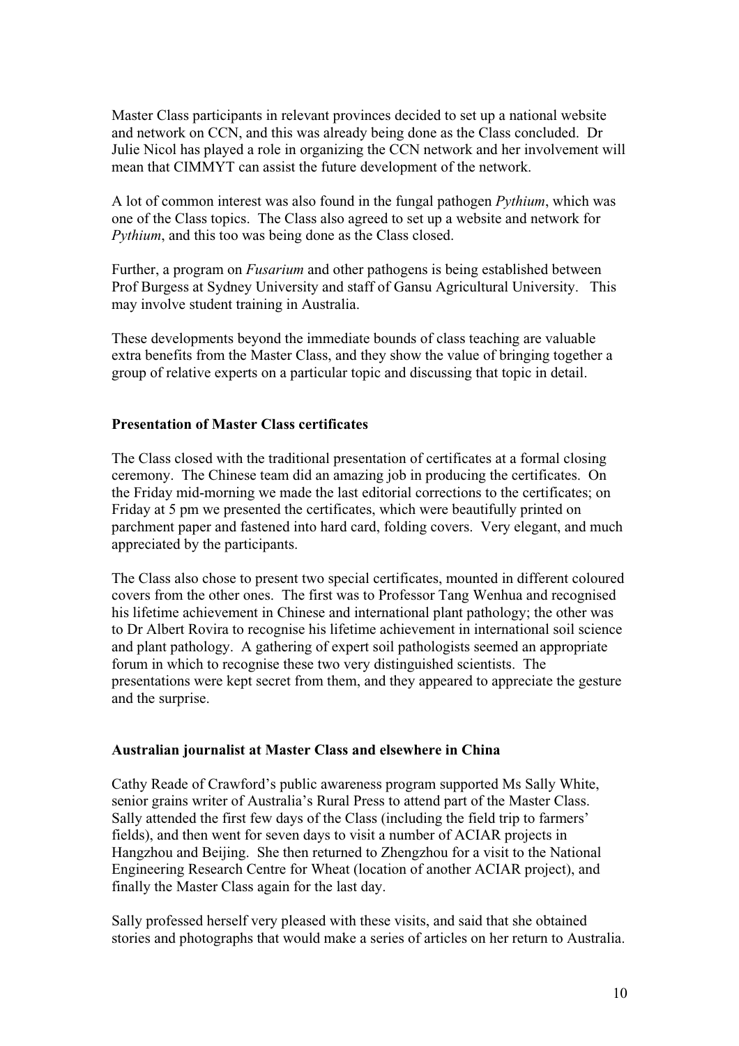Master Class participants in relevant provinces decided to set up a national website and network on CCN, and this was already being done as the Class concluded. Dr Julie Nicol has played a role in organizing the CCN network and her involvement will mean that CIMMYT can assist the future development of the network.

A lot of common interest was also found in the fungal pathogen *Pythium*, which was one of the Class topics. The Class also agreed to set up a website and network for *Pythium*, and this too was being done as the Class closed.

Further, a program on *Fusarium* and other pathogens is being established between Prof Burgess at Sydney University and staff of Gansu Agricultural University. This may involve student training in Australia.

These developments beyond the immediate bounds of class teaching are valuable extra benefits from the Master Class, and they show the value of bringing together a group of relative experts on a particular topic and discussing that topic in detail.

#### **Presentation of Master Class certificates**

The Class closed with the traditional presentation of certificates at a formal closing ceremony. The Chinese team did an amazing job in producing the certificates. On the Friday mid-morning we made the last editorial corrections to the certificates; on Friday at 5 pm we presented the certificates, which were beautifully printed on parchment paper and fastened into hard card, folding covers. Very elegant, and much appreciated by the participants.

The Class also chose to present two special certificates, mounted in different coloured covers from the other ones. The first was to Professor Tang Wenhua and recognised his lifetime achievement in Chinese and international plant pathology; the other was to Dr Albert Rovira to recognise his lifetime achievement in international soil science and plant pathology. A gathering of expert soil pathologists seemed an appropriate forum in which to recognise these two very distinguished scientists. The presentations were kept secret from them, and they appeared to appreciate the gesture and the surprise.

#### **Australian journalist at Master Class and elsewhere in China**

Cathy Reade of Crawford's public awareness program supported Ms Sally White, senior grains writer of Australia's Rural Press to attend part of the Master Class. Sally attended the first few days of the Class (including the field trip to farmers' fields), and then went for seven days to visit a number of ACIAR projects in Hangzhou and Beijing. She then returned to Zhengzhou for a visit to the National Engineering Research Centre for Wheat (location of another ACIAR project), and finally the Master Class again for the last day.

Sally professed herself very pleased with these visits, and said that she obtained stories and photographs that would make a series of articles on her return to Australia.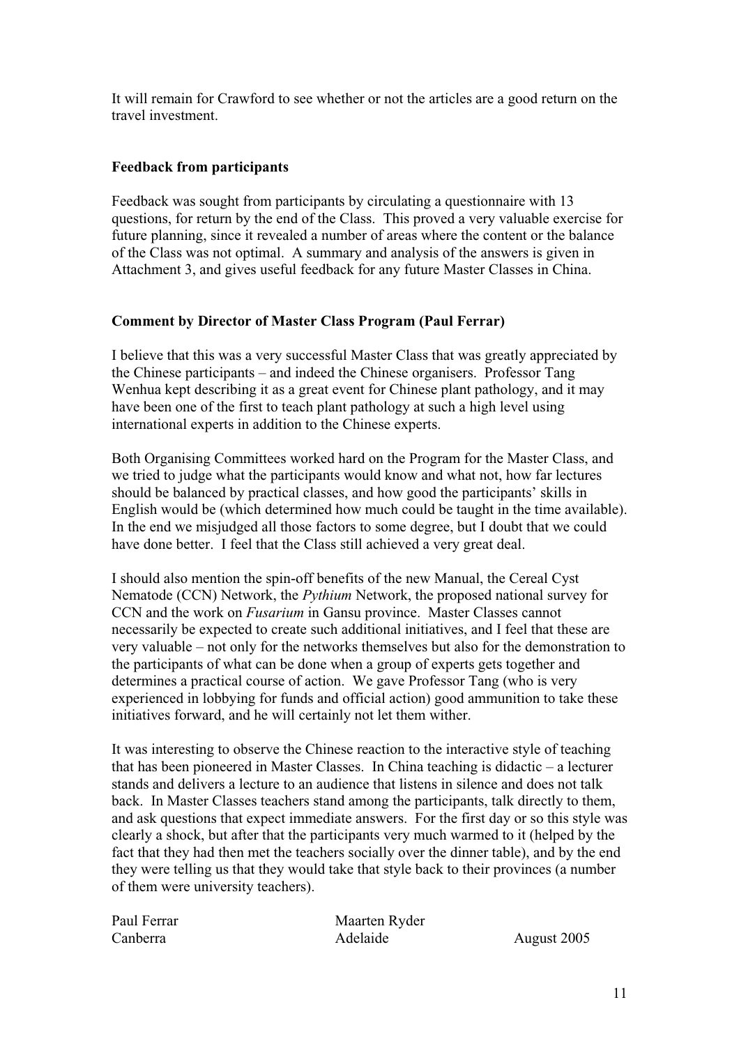It will remain for Crawford to see whether or not the articles are a good return on the travel investment.

### **Feedback from participants**

Feedback was sought from participants by circulating a questionnaire with 13 questions, for return by the end of the Class. This proved a very valuable exercise for future planning, since it revealed a number of areas where the content or the balance of the Class was not optimal. A summary and analysis of the answers is given in Attachment 3, and gives useful feedback for any future Master Classes in China.

#### **Comment by Director of Master Class Program (Paul Ferrar)**

I believe that this was a very successful Master Class that was greatly appreciated by the Chinese participants – and indeed the Chinese organisers. Professor Tang Wenhua kept describing it as a great event for Chinese plant pathology, and it may have been one of the first to teach plant pathology at such a high level using international experts in addition to the Chinese experts.

Both Organising Committees worked hard on the Program for the Master Class, and we tried to judge what the participants would know and what not, how far lectures should be balanced by practical classes, and how good the participants' skills in English would be (which determined how much could be taught in the time available). In the end we misjudged all those factors to some degree, but I doubt that we could have done better. I feel that the Class still achieved a very great deal.

I should also mention the spin-off benefits of the new Manual, the Cereal Cyst Nematode (CCN) Network, the *Pythium* Network, the proposed national survey for CCN and the work on *Fusarium* in Gansu province. Master Classes cannot necessarily be expected to create such additional initiatives, and I feel that these are very valuable – not only for the networks themselves but also for the demonstration to the participants of what can be done when a group of experts gets together and determines a practical course of action. We gave Professor Tang (who is very experienced in lobbying for funds and official action) good ammunition to take these initiatives forward, and he will certainly not let them wither.

It was interesting to observe the Chinese reaction to the interactive style of teaching that has been pioneered in Master Classes. In China teaching is didactic – a lecturer stands and delivers a lecture to an audience that listens in silence and does not talk back. In Master Classes teachers stand among the participants, talk directly to them, and ask questions that expect immediate answers. For the first day or so this style was clearly a shock, but after that the participants very much warmed to it (helped by the fact that they had then met the teachers socially over the dinner table), and by the end they were telling us that they would take that style back to their provinces (a number of them were university teachers).

Paul Ferrar Maarten Ryder Canberra Adelaide August 2005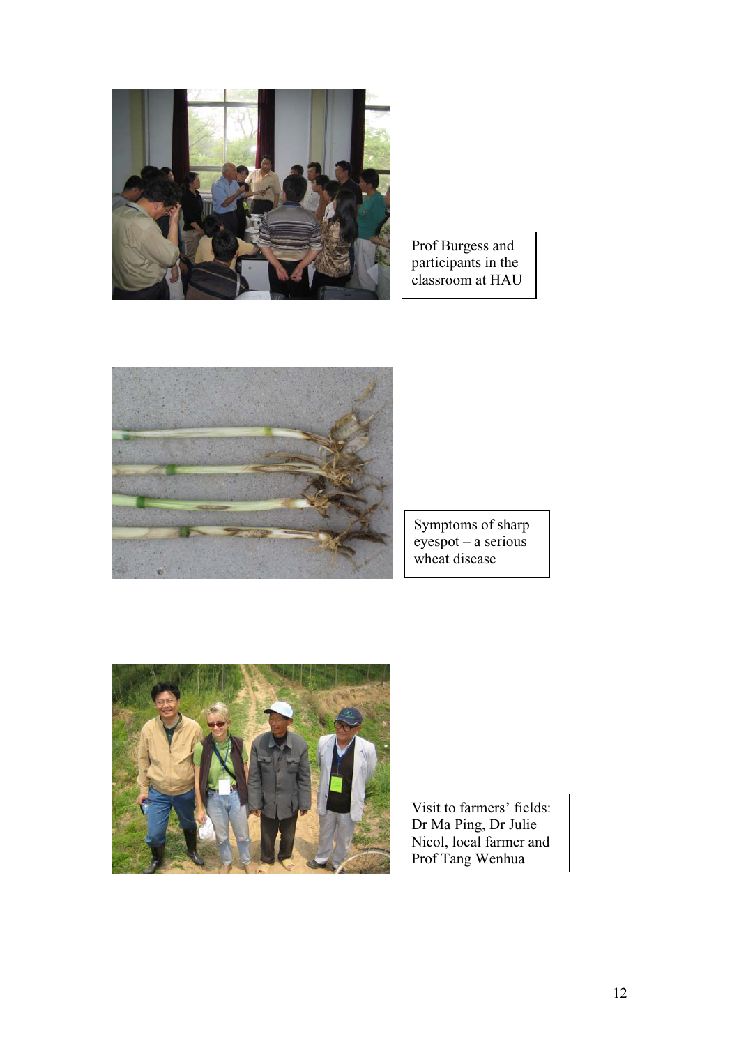

Prof Burgess and participants in the classroom at HAU



Symptoms of sharp eyespot – a serious wheat disease



Visit to farmers' fields: Dr Ma Ping, Dr Julie Nicol, local farmer and Prof Tang Wenhua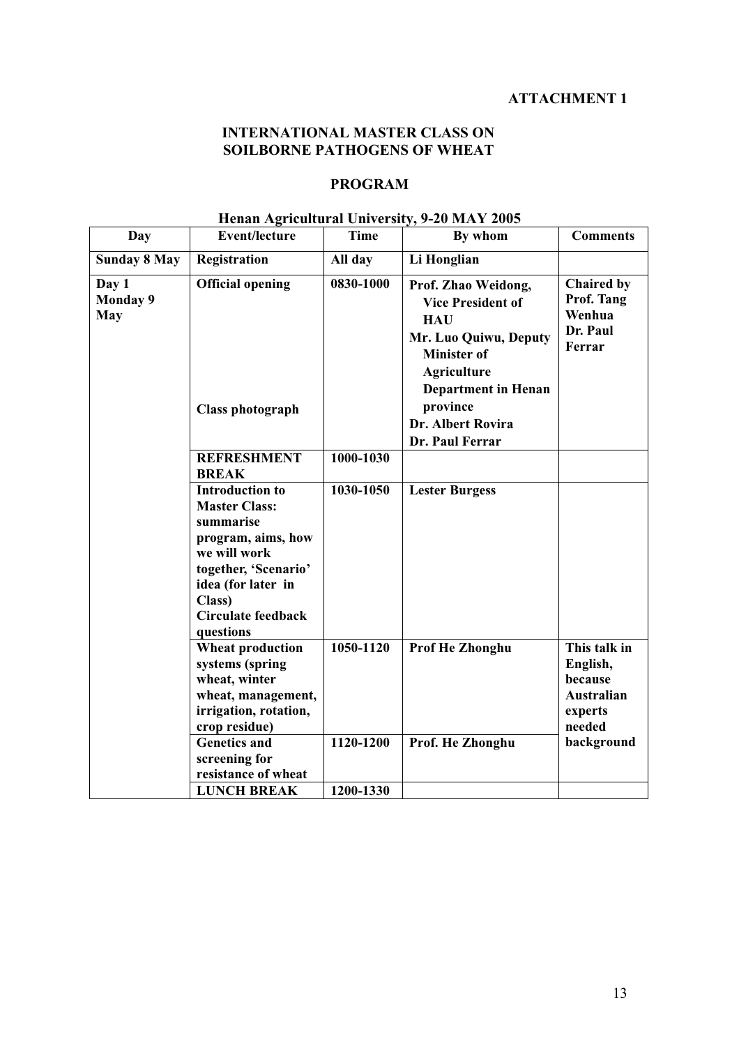# **INTERNATIONAL MASTER CLASS ON SOILBORNE PATHOGENS OF WHEAT**

## **PROGRAM**

| Henan Agricultural University, 9-20 MAY 2005 |
|----------------------------------------------|
|                                              |

| Day                                    | <b>Event/lecture</b>                                                                                                                                                                                | Time                   | By whom                                                                                                                            | <b>Comments</b>                                                        |
|----------------------------------------|-----------------------------------------------------------------------------------------------------------------------------------------------------------------------------------------------------|------------------------|------------------------------------------------------------------------------------------------------------------------------------|------------------------------------------------------------------------|
| <b>Sunday 8 May</b>                    | Registration                                                                                                                                                                                        | All day                | Li Honglian                                                                                                                        |                                                                        |
| Day 1<br><b>Monday 9</b><br><b>May</b> | <b>Official opening</b>                                                                                                                                                                             | 0830-1000              | Prof. Zhao Weidong,<br><b>Vice President of</b><br><b>HAU</b><br>Mr. Luo Quiwu, Deputy<br><b>Minister of</b><br><b>Agriculture</b> | Chaired by<br>Prof. Tang<br>Wenhua<br>Dr. Paul<br>Ferrar               |
|                                        | Class photograph                                                                                                                                                                                    |                        | <b>Department in Henan</b><br>province<br>Dr. Albert Rovira<br>Dr. Paul Ferrar                                                     |                                                                        |
|                                        | <b>REFRESHMENT</b><br><b>BREAK</b>                                                                                                                                                                  | 1000-1030              |                                                                                                                                    |                                                                        |
|                                        | <b>Introduction to</b><br><b>Master Class:</b><br>summarise<br>program, aims, how<br>we will work<br>together, 'Scenario'<br>idea (for later in<br>Class)<br><b>Circulate feedback</b><br>questions | 1030-1050              | <b>Lester Burgess</b>                                                                                                              |                                                                        |
|                                        | <b>Wheat production</b><br>systems (spring<br>wheat, winter<br>wheat, management,<br>irrigation, rotation,<br>crop residue)                                                                         | 1050-1120              | Prof He Zhonghu                                                                                                                    | This talk in<br>English,<br>because<br>Australian<br>experts<br>needed |
|                                        | <b>Genetics and</b><br>screening for<br>resistance of wheat<br><b>LUNCH BREAK</b>                                                                                                                   | 1120-1200<br>1200-1330 | Prof. He Zhonghu                                                                                                                   | background                                                             |
|                                        |                                                                                                                                                                                                     |                        |                                                                                                                                    |                                                                        |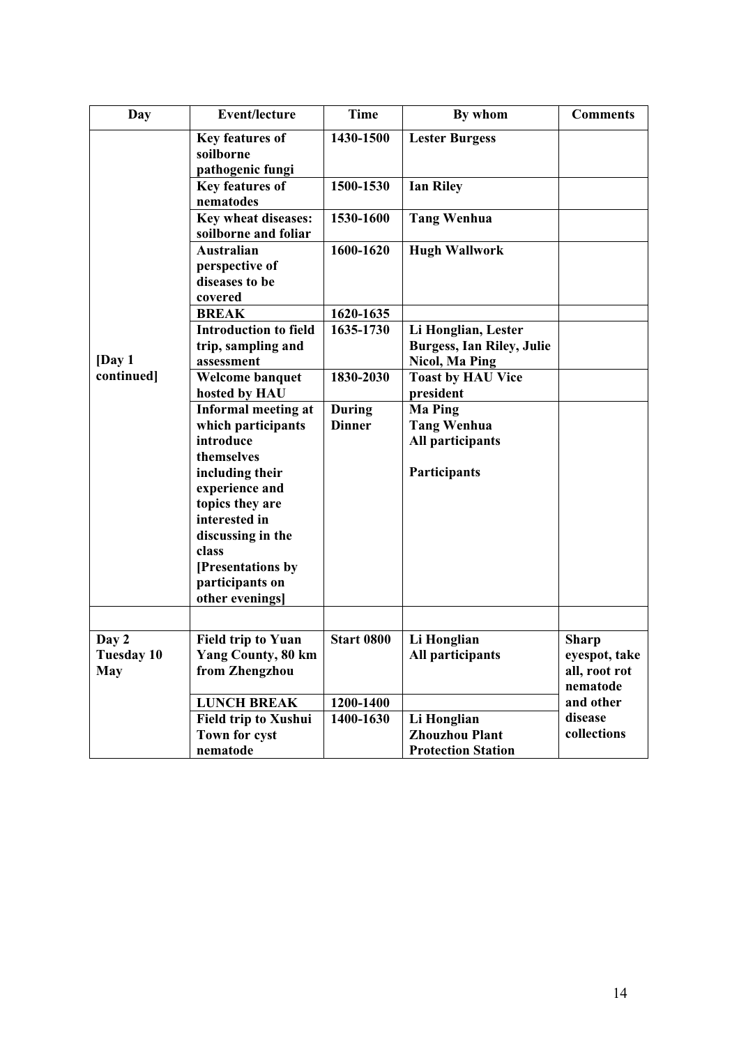| Day               | <b>Event/lecture</b>                                             | <b>Time</b>                    | By whom                                                                   | <b>Comments</b>           |
|-------------------|------------------------------------------------------------------|--------------------------------|---------------------------------------------------------------------------|---------------------------|
|                   | Key features of<br>soilborne<br>pathogenic fungi                 | 1430-1500                      | <b>Lester Burgess</b>                                                     |                           |
|                   | Key features of<br>nematodes                                     | 1500-1530                      | <b>Ian Riley</b>                                                          |                           |
|                   | Key wheat diseases:<br>soilborne and foliar                      | 1530-1600                      | <b>Tang Wenhua</b>                                                        |                           |
|                   | <b>Australian</b><br>perspective of<br>diseases to be<br>covered | 1600-1620                      | <b>Hugh Wallwork</b>                                                      |                           |
|                   | <b>BREAK</b>                                                     | 1620-1635                      |                                                                           |                           |
| $\sqrt{Day1}$     | <b>Introduction to field</b><br>trip, sampling and<br>assessment | 1635-1730                      | Li Honglian, Lester<br><b>Burgess, Ian Riley, Julie</b><br>Nicol, Ma Ping |                           |
| continued]        | Welcome banquet<br>hosted by HAU                                 | 1830-2030                      | <b>Toast by HAU Vice</b><br>president                                     |                           |
|                   | <b>Informal meeting at</b><br>which participants                 | <b>During</b><br><b>Dinner</b> | <b>Ma Ping</b><br><b>Tang Wenhua</b>                                      |                           |
|                   | introduce                                                        |                                | All participants                                                          |                           |
|                   | themselves                                                       |                                |                                                                           |                           |
|                   | including their                                                  |                                | Participants                                                              |                           |
|                   | experience and                                                   |                                |                                                                           |                           |
|                   | topics they are                                                  |                                |                                                                           |                           |
|                   | interested in                                                    |                                |                                                                           |                           |
|                   | discussing in the                                                |                                |                                                                           |                           |
|                   | class                                                            |                                |                                                                           |                           |
|                   | [Presentations by<br>participants on                             |                                |                                                                           |                           |
|                   | other evenings]                                                  |                                |                                                                           |                           |
|                   |                                                                  |                                |                                                                           |                           |
| Day 2             | <b>Field trip to Yuan</b>                                        | <b>Start 0800</b>              | Li Honglian                                                               | <b>Sharp</b>              |
| <b>Tuesday 10</b> | <b>Yang County, 80 km</b>                                        |                                | All participants                                                          | eyespot, take             |
| May               | from Zhengzhou                                                   |                                |                                                                           | all, root rot<br>nematode |
|                   | <b>LUNCH BREAK</b>                                               | 1200-1400                      |                                                                           | and other                 |
|                   | <b>Field trip to Xushui</b>                                      | 1400-1630                      | Li Honglian                                                               | disease                   |
|                   | Town for cyst                                                    |                                | <b>Zhouzhou Plant</b>                                                     | collections               |
|                   | nematode                                                         |                                | <b>Protection Station</b>                                                 |                           |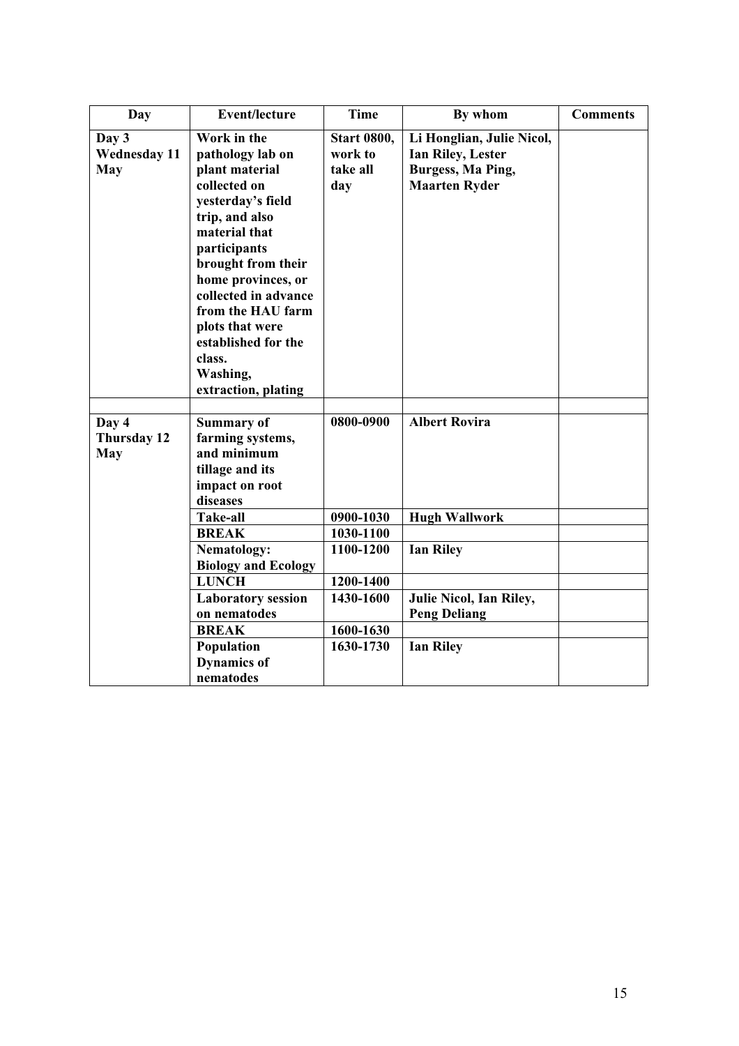| Day                                        | <b>Event/lecture</b>                                                                                                                                                                                                                                                                                                      | <b>Time</b>                                      | By whom                                                                                            | <b>Comments</b> |
|--------------------------------------------|---------------------------------------------------------------------------------------------------------------------------------------------------------------------------------------------------------------------------------------------------------------------------------------------------------------------------|--------------------------------------------------|----------------------------------------------------------------------------------------------------|-----------------|
| Day 3<br><b>Wednesday 11</b><br><b>May</b> | Work in the<br>pathology lab on<br>plant material<br>collected on<br>yesterday's field<br>trip, and also<br>material that<br>participants<br>brought from their<br>home provinces, or<br>collected in advance<br>from the HAU farm<br>plots that were<br>established for the<br>class.<br>Washing,<br>extraction, plating | <b>Start 0800,</b><br>work to<br>take all<br>day | Li Honglian, Julie Nicol,<br><b>Ian Riley, Lester</b><br>Burgess, Ma Ping,<br><b>Maarten Ryder</b> |                 |
| Day 4<br>Thursday 12<br><b>May</b>         | <b>Summary of</b><br>farming systems,<br>and minimum<br>tillage and its<br>impact on root<br>diseases<br>Take-all                                                                                                                                                                                                         | 0800-0900<br>0900-1030                           | <b>Albert Rovira</b><br><b>Hugh Wallwork</b>                                                       |                 |
|                                            | <b>BREAK</b>                                                                                                                                                                                                                                                                                                              | 1030-1100                                        |                                                                                                    |                 |
|                                            | Nematology:<br><b>Biology and Ecology</b>                                                                                                                                                                                                                                                                                 | 1100-1200                                        | <b>Ian Riley</b>                                                                                   |                 |
|                                            | <b>LUNCH</b>                                                                                                                                                                                                                                                                                                              | 1200-1400                                        |                                                                                                    |                 |
|                                            | <b>Laboratory session</b><br>on nematodes                                                                                                                                                                                                                                                                                 | 1430-1600                                        | Julie Nicol, Ian Riley,<br><b>Peng Deliang</b>                                                     |                 |
|                                            | <b>BREAK</b>                                                                                                                                                                                                                                                                                                              | 1600-1630                                        |                                                                                                    |                 |
|                                            | Population<br><b>Dynamics of</b><br>nematodes                                                                                                                                                                                                                                                                             | 1630-1730                                        | <b>Ian Riley</b>                                                                                   |                 |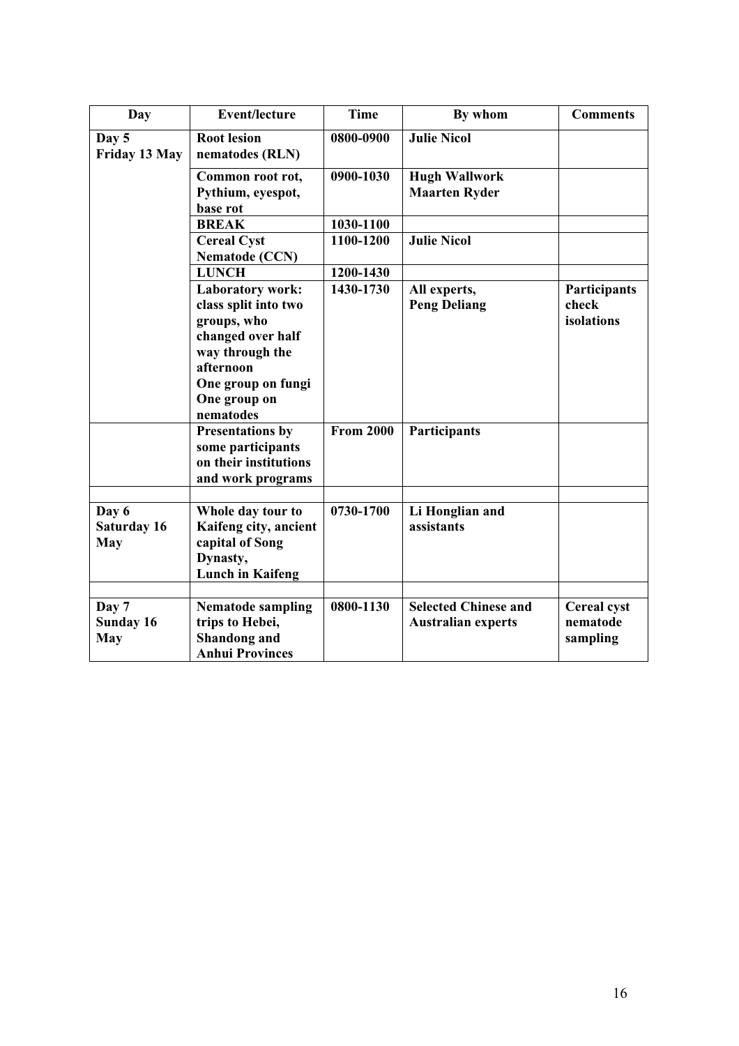| Day                              | <b>Event/lecture</b>                                                                                                                                                                                                                                                 | <b>Time</b>                   | By whom                                                  | <b>Comments</b>                            |
|----------------------------------|----------------------------------------------------------------------------------------------------------------------------------------------------------------------------------------------------------------------------------------------------------------------|-------------------------------|----------------------------------------------------------|--------------------------------------------|
| Day 5<br>Friday 13 May           | <b>Root lesion</b><br>nematodes (RLN)                                                                                                                                                                                                                                | 0800-0900                     | <b>Julie Nicol</b>                                       |                                            |
|                                  | Common root rot,<br>Pythium, eyespot,<br>base rot                                                                                                                                                                                                                    | 0900-1030                     | <b>Hugh Wallwork</b><br><b>Maarten Ryder</b>             |                                            |
|                                  | <b>BREAK</b>                                                                                                                                                                                                                                                         | 1030-1100                     |                                                          |                                            |
|                                  | <b>Cereal Cyst</b><br><b>Nematode (CCN)</b>                                                                                                                                                                                                                          | 1100-1200                     | <b>Julie Nicol</b>                                       |                                            |
|                                  | <b>LUNCH</b>                                                                                                                                                                                                                                                         | 1200-1430                     |                                                          |                                            |
|                                  | <b>Laboratory work:</b><br>class split into two<br>groups, who<br>changed over half<br>way through the<br>afternoon<br>One group on fungi<br>One group on<br>nematodes<br><b>Presentations by</b><br>some participants<br>on their institutions<br>and work programs | 1430-1730<br><b>From 2000</b> | All experts,<br><b>Peng Deliang</b><br>Participants      | Participants<br>check<br>isolations        |
|                                  |                                                                                                                                                                                                                                                                      |                               |                                                          |                                            |
| Day 6<br>Saturday 16<br>May      | Whole day tour to<br>Kaifeng city, ancient<br>capital of Song<br>Dynasty,<br><b>Lunch in Kaifeng</b>                                                                                                                                                                 | 0730-1700                     | Li Honglian and<br>assistants                            |                                            |
|                                  |                                                                                                                                                                                                                                                                      |                               |                                                          |                                            |
| Day 7<br>Sunday 16<br><b>May</b> | <b>Nematode sampling</b><br>trips to Hebei,<br><b>Shandong</b> and<br><b>Anhui Provinces</b>                                                                                                                                                                         | 0800-1130                     | <b>Selected Chinese and</b><br><b>Australian experts</b> | <b>Cereal cyst</b><br>nematode<br>sampling |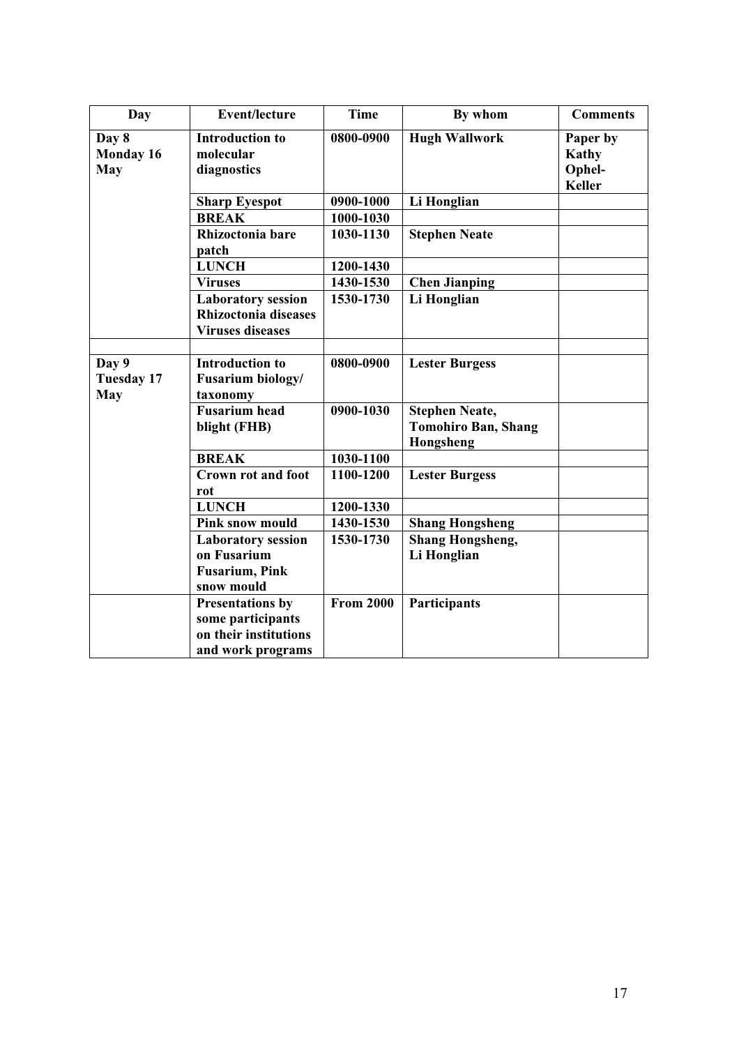| Day               | <b>Event/lecture</b>      | <b>Time</b>      | By whom                    | <b>Comments</b>         |
|-------------------|---------------------------|------------------|----------------------------|-------------------------|
| Day 8             | <b>Introduction to</b>    | 0800-0900        | <b>Hugh Wallwork</b>       | Paper by                |
| Monday 16         | molecular                 |                  |                            | Kathy                   |
| May               | diagnostics               |                  |                            | Ophel-<br><b>Keller</b> |
|                   |                           |                  |                            |                         |
|                   | <b>Sharp Eyespot</b>      | 0900-1000        | Li Honglian                |                         |
|                   | <b>BREAK</b>              | 1000-1030        |                            |                         |
|                   | Rhizoctonia bare<br>patch | 1030-1130        | <b>Stephen Neate</b>       |                         |
|                   | <b>LUNCH</b>              | 1200-1430        |                            |                         |
|                   | <b>Viruses</b>            | 1430-1530        | <b>Chen Jianping</b>       |                         |
|                   | <b>Laboratory session</b> | 1530-1730        | Li Honglian                |                         |
|                   | Rhizoctonia diseases      |                  |                            |                         |
|                   | <b>Viruses diseases</b>   |                  |                            |                         |
|                   |                           |                  |                            |                         |
| Day 9             | <b>Introduction to</b>    | 0800-0900        | <b>Lester Burgess</b>      |                         |
| <b>Tuesday 17</b> | Fusarium biology/         |                  |                            |                         |
| May               | taxonomy                  |                  |                            |                         |
|                   | <b>Fusarium</b> head      | 0900-1030        | <b>Stephen Neate,</b>      |                         |
|                   | blight (FHB)              |                  | <b>Tomohiro Ban, Shang</b> |                         |
|                   |                           |                  | Hongsheng                  |                         |
|                   | <b>BREAK</b>              | 1030-1100        |                            |                         |
|                   | <b>Crown rot and foot</b> | 1100-1200        | <b>Lester Burgess</b>      |                         |
|                   | rot                       |                  |                            |                         |
|                   | <b>LUNCH</b>              | 1200-1330        |                            |                         |
|                   | <b>Pink snow mould</b>    | 1430-1530        | <b>Shang Hongsheng</b>     |                         |
|                   | <b>Laboratory session</b> | 1530-1730        | <b>Shang Hongsheng,</b>    |                         |
|                   | on Fusarium               |                  | Li Honglian                |                         |
|                   | <b>Fusarium, Pink</b>     |                  |                            |                         |
|                   | snow mould                |                  |                            |                         |
|                   | <b>Presentations by</b>   | <b>From 2000</b> | Participants               |                         |
|                   | some participants         |                  |                            |                         |
|                   | on their institutions     |                  |                            |                         |
|                   | and work programs         |                  |                            |                         |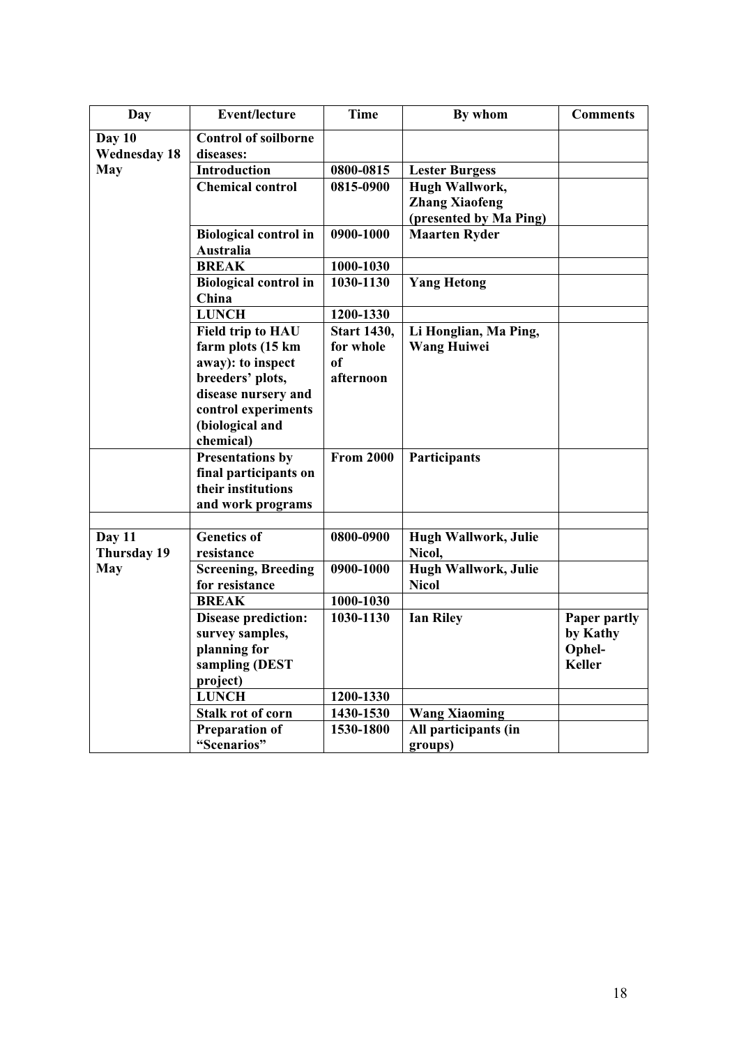| Day                 | <b>Event/lecture</b>         | <b>Time</b>        | By whom                | <b>Comments</b> |
|---------------------|------------------------------|--------------------|------------------------|-----------------|
| Day 10              | <b>Control of soilborne</b>  |                    |                        |                 |
| <b>Wednesday 18</b> | diseases:                    |                    |                        |                 |
| <b>May</b>          | <b>Introduction</b>          | 0800-0815          | <b>Lester Burgess</b>  |                 |
|                     | <b>Chemical control</b>      | 0815-0900          | Hugh Wallwork,         |                 |
|                     |                              |                    | <b>Zhang Xiaofeng</b>  |                 |
|                     |                              |                    | (presented by Ma Ping) |                 |
|                     | <b>Biological control in</b> | 0900-1000          | <b>Maarten Ryder</b>   |                 |
|                     | Australia                    |                    |                        |                 |
|                     | <b>BREAK</b>                 | 1000-1030          |                        |                 |
|                     | <b>Biological control in</b> | 1030-1130          | <b>Yang Hetong</b>     |                 |
|                     | China                        |                    |                        |                 |
|                     | <b>LUNCH</b>                 | 1200-1330          |                        |                 |
|                     | <b>Field trip to HAU</b>     | <b>Start 1430,</b> | Li Honglian, Ma Ping,  |                 |
|                     | farm plots (15 km            | for whole          | <b>Wang Huiwei</b>     |                 |
|                     | away): to inspect            | of                 |                        |                 |
|                     | breeders' plots,             | afternoon          |                        |                 |
|                     | disease nursery and          |                    |                        |                 |
|                     | control experiments          |                    |                        |                 |
|                     | (biological and              |                    |                        |                 |
|                     | chemical)                    |                    |                        |                 |
|                     | <b>Presentations by</b>      | <b>From 2000</b>   | Participants           |                 |
|                     | final participants on        |                    |                        |                 |
|                     | their institutions           |                    |                        |                 |
|                     | and work programs            |                    |                        |                 |
|                     |                              |                    |                        |                 |
| Day 11              | <b>Genetics of</b>           | 0800-0900          | Hugh Wallwork, Julie   |                 |
| Thursday 19         | resistance                   |                    | Nicol,                 |                 |
| <b>May</b>          | <b>Screening, Breeding</b>   | 0900-1000          | Hugh Wallwork, Julie   |                 |
|                     | for resistance               |                    | <b>Nicol</b>           |                 |
|                     | <b>BREAK</b>                 | 1000-1030          |                        |                 |
|                     | <b>Disease prediction:</b>   | 1030-1130          | <b>Ian Riley</b>       | Paper partly    |
|                     | survey samples,              |                    |                        | by Kathy        |
|                     | planning for                 |                    |                        | Ophel-          |
|                     | sampling (DEST               |                    |                        | <b>Keller</b>   |
|                     | project)                     |                    |                        |                 |
|                     | <b>LUNCH</b>                 | 1200-1330          |                        |                 |
|                     | Stalk rot of corn            | 1430-1530          | <b>Wang Xiaoming</b>   |                 |
|                     | <b>Preparation of</b>        | 1530-1800          | All participants (in   |                 |
|                     | "Scenarios"                  |                    | groups)                |                 |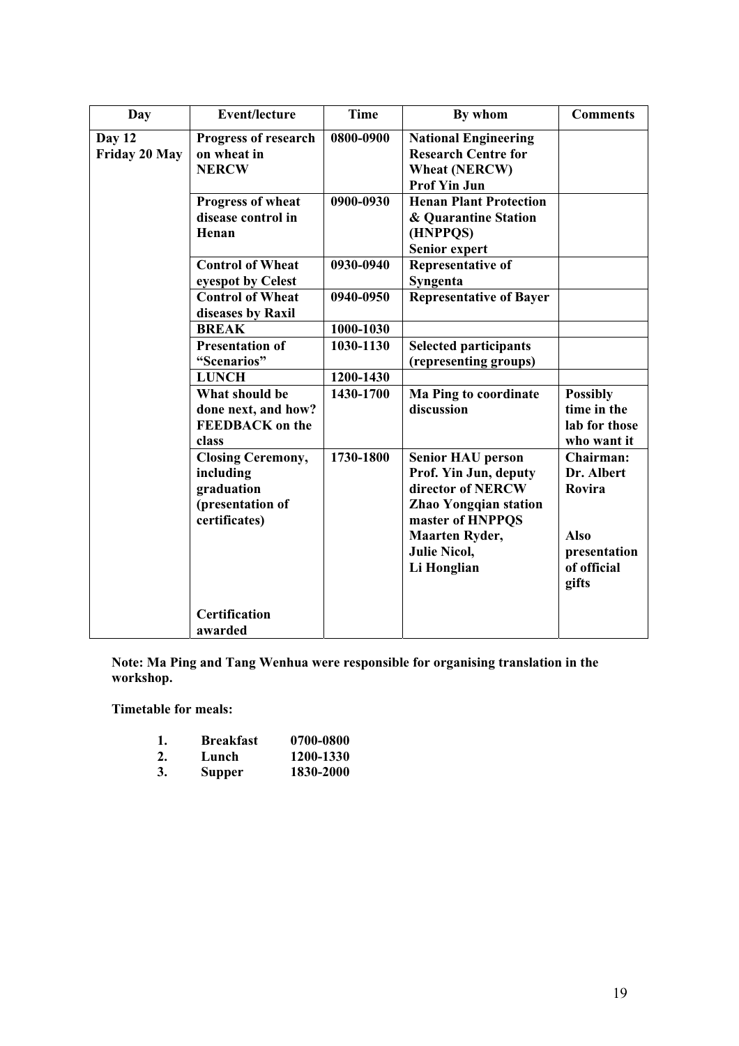| Day                     | <b>Event/lecture</b>                                                                     | <b>Time</b> | By whom                                                                                                                                                                                   | <b>Comments</b>                                                                          |
|-------------------------|------------------------------------------------------------------------------------------|-------------|-------------------------------------------------------------------------------------------------------------------------------------------------------------------------------------------|------------------------------------------------------------------------------------------|
| Day 12<br>Friday 20 May | <b>Progress of research</b><br>on wheat in<br><b>NERCW</b>                               | 0800-0900   | <b>National Engineering</b><br><b>Research Centre for</b><br><b>Wheat (NERCW)</b><br><b>Prof Yin Jun</b>                                                                                  |                                                                                          |
|                         | Progress of wheat<br>disease control in<br>Henan                                         | 0900-0930   | <b>Henan Plant Protection</b><br>& Quarantine Station<br>(HNPPQS)<br>Senior expert                                                                                                        |                                                                                          |
|                         | <b>Control of Wheat</b><br>eyespot by Celest                                             | 0930-0940   | Representative of<br>Syngenta                                                                                                                                                             |                                                                                          |
|                         | <b>Control of Wheat</b><br>diseases by Raxil                                             | 0940-0950   | <b>Representative of Bayer</b>                                                                                                                                                            |                                                                                          |
|                         | <b>BREAK</b>                                                                             | 1000-1030   |                                                                                                                                                                                           |                                                                                          |
|                         | <b>Presentation of</b><br>"Scenarios"                                                    | 1030-1130   | <b>Selected participants</b><br>(representing groups)                                                                                                                                     |                                                                                          |
|                         | <b>LUNCH</b>                                                                             | 1200-1430   |                                                                                                                                                                                           |                                                                                          |
|                         | What should be<br>done next, and how?<br><b>FEEDBACK</b> on the<br>class                 | 1430-1700   | Ma Ping to coordinate<br>discussion                                                                                                                                                       | <b>Possibly</b><br>time in the<br>lab for those<br>who want it                           |
|                         | <b>Closing Ceremony,</b><br>including<br>graduation<br>(presentation of<br>certificates) | 1730-1800   | <b>Senior HAU person</b><br>Prof. Yin Jun, deputy<br>director of NERCW<br><b>Zhao Yongqian station</b><br>master of HNPPQS<br><b>Maarten Ryder,</b><br><b>Julie Nicol,</b><br>Li Honglian | Chairman:<br>Dr. Albert<br>Rovira<br><b>Also</b><br>presentation<br>of official<br>gifts |
|                         | <b>Certification</b><br>awarded                                                          |             |                                                                                                                                                                                           |                                                                                          |

**Note: Ma Ping and Tang Wenhua were responsible for organising translation in the workshop.**

**Timetable for meals:** 

| 1. | Breakfast     | 0700-0800 |
|----|---------------|-----------|
| 2. | Lunch         | 1200-1330 |
| 3. | <b>Supper</b> | 1830-2000 |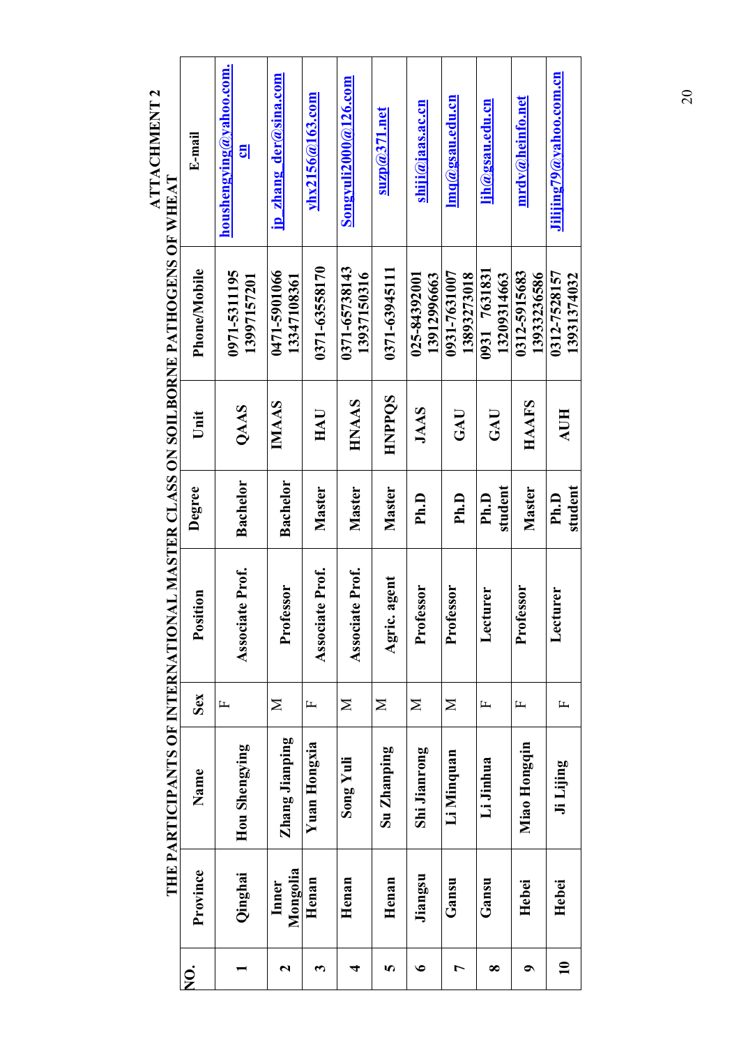| houshengying@yahoo.com.<br>ip zhang der@sina.com<br>${\bf Song}$ vuli ${\bf 2000}$ @126.com<br>$v$ hx2156 $@163$ .com<br>$\mathbf{Inq}(a)$ gsau.edu.cn<br>$\mathbf{mrdv}(\widehat{\boldsymbol{x}})$ heinfo.net<br>lih@gsau.edu.cn<br>shiji@jaas.ac.cn<br>$\sup( \alpha \leq 1 \text{ and }$<br>E-mail<br><mark>팅</mark> | THE PARTICIPANTS OF INTERNATIONAL MASTER CLASS ON SOILBORNE PATHOGENS OF WHEAT<br>0371-63558170<br>0371-65738143<br>0371-63945111<br>Phone/Mobile<br>0471-5901066<br>0931 7631831<br>0971-5311195<br>0312-5915683<br>0931-7631007<br>13937150316<br>025-84392001<br>13893273018<br>13912996663<br>13209314663<br>13997157201<br>13347108361 | <b>HNPPQS</b><br>HNAAS<br><b>IMAAS</b><br>HAAFS<br>QAAS<br><b>JAAS</b><br>$_{\rm HAU}$<br>$\mathbf{GAU}$<br>$\mathbf{GAU}$<br>Unit | <b>Bachelor</b><br>Bachelor<br>student<br>Degree<br>Master<br>Master<br>Master<br>Master<br>Ph.D<br>Ph.D<br>Ph.D | Associate Prof.<br>Associate Prof.<br>Associate Prof.<br>agent<br><b>fessor</b><br>fessor<br><b>tessor</b><br>essor<br>turer<br>Position<br>Agric.<br>Lect<br>Prof<br>Proi<br>Proi<br>Proi | Sex<br>$\geq$<br>$\geq$<br>$\mathbf{N}$<br>$\mathbf{\Sigma}$<br>$\geq$<br>$\mathbf{L}$<br>$\mathbf{L}$<br>щ<br>д | Zhang Jianping<br>Yuan Hongxia<br>Miao Hongqin<br>Hou Shengying<br>Su Zhanping<br>Shi Jianrong<br>Li Minquan<br>$Song$ Yuli<br>Li Jinhua<br>Name | Province<br>Mongolia<br>Qinghai<br>Jiangsu<br>Henan<br>Henan<br>Henan<br>Gansu<br>Gansu<br>Inner<br>Hebei | 5<br>$\bullet$<br>∞<br>2<br>7<br>$\bullet$<br>$\bm{\epsilon}$<br>4<br><u>ò</u><br>Z |
|-------------------------------------------------------------------------------------------------------------------------------------------------------------------------------------------------------------------------------------------------------------------------------------------------------------------------|---------------------------------------------------------------------------------------------------------------------------------------------------------------------------------------------------------------------------------------------------------------------------------------------------------------------------------------------|------------------------------------------------------------------------------------------------------------------------------------|------------------------------------------------------------------------------------------------------------------|--------------------------------------------------------------------------------------------------------------------------------------------------------------------------------------------|------------------------------------------------------------------------------------------------------------------|--------------------------------------------------------------------------------------------------------------------------------------------------|-----------------------------------------------------------------------------------------------------------|-------------------------------------------------------------------------------------|
| Jilijing $79a$ yahoo.com.cn                                                                                                                                                                                                                                                                                             | 0312-7528157<br>13931374032                                                                                                                                                                                                                                                                                                                 | AUH                                                                                                                                | student<br>Ph.D                                                                                                  | turer<br>$\mathsf{Lect}$                                                                                                                                                                   | $\mathbf{L}$                                                                                                     | Ji Lijing                                                                                                                                        | Hebei                                                                                                     | $\mathbf{r}$                                                                        |
|                                                                                                                                                                                                                                                                                                                         | 13933236586                                                                                                                                                                                                                                                                                                                                 |                                                                                                                                    |                                                                                                                  |                                                                                                                                                                                            |                                                                                                                  |                                                                                                                                                  |                                                                                                           |                                                                                     |
|                                                                                                                                                                                                                                                                                                                         |                                                                                                                                                                                                                                                                                                                                             |                                                                                                                                    |                                                                                                                  |                                                                                                                                                                                            |                                                                                                                  |                                                                                                                                                  |                                                                                                           |                                                                                     |
|                                                                                                                                                                                                                                                                                                                         |                                                                                                                                                                                                                                                                                                                                             |                                                                                                                                    |                                                                                                                  |                                                                                                                                                                                            |                                                                                                                  |                                                                                                                                                  |                                                                                                           |                                                                                     |
|                                                                                                                                                                                                                                                                                                                         |                                                                                                                                                                                                                                                                                                                                             |                                                                                                                                    |                                                                                                                  |                                                                                                                                                                                            |                                                                                                                  |                                                                                                                                                  |                                                                                                           |                                                                                     |
|                                                                                                                                                                                                                                                                                                                         |                                                                                                                                                                                                                                                                                                                                             |                                                                                                                                    |                                                                                                                  |                                                                                                                                                                                            |                                                                                                                  |                                                                                                                                                  |                                                                                                           |                                                                                     |
|                                                                                                                                                                                                                                                                                                                         |                                                                                                                                                                                                                                                                                                                                             |                                                                                                                                    |                                                                                                                  |                                                                                                                                                                                            |                                                                                                                  |                                                                                                                                                  |                                                                                                           |                                                                                     |
|                                                                                                                                                                                                                                                                                                                         |                                                                                                                                                                                                                                                                                                                                             |                                                                                                                                    |                                                                                                                  |                                                                                                                                                                                            |                                                                                                                  |                                                                                                                                                  |                                                                                                           |                                                                                     |
|                                                                                                                                                                                                                                                                                                                         |                                                                                                                                                                                                                                                                                                                                             |                                                                                                                                    |                                                                                                                  |                                                                                                                                                                                            |                                                                                                                  |                                                                                                                                                  |                                                                                                           |                                                                                     |
|                                                                                                                                                                                                                                                                                                                         |                                                                                                                                                                                                                                                                                                                                             |                                                                                                                                    |                                                                                                                  |                                                                                                                                                                                            |                                                                                                                  |                                                                                                                                                  |                                                                                                           |                                                                                     |
|                                                                                                                                                                                                                                                                                                                         |                                                                                                                                                                                                                                                                                                                                             |                                                                                                                                    |                                                                                                                  |                                                                                                                                                                                            |                                                                                                                  |                                                                                                                                                  |                                                                                                           |                                                                                     |
|                                                                                                                                                                                                                                                                                                                         |                                                                                                                                                                                                                                                                                                                                             |                                                                                                                                    |                                                                                                                  |                                                                                                                                                                                            |                                                                                                                  |                                                                                                                                                  |                                                                                                           |                                                                                     |

**ATTACHMENT 2 ATTACHMENT 2 THE PARTICIPANTS OF INTERNATIONAL MASTER CLASS ON SOILBORNE PATHOGENS OF WHEAT**  20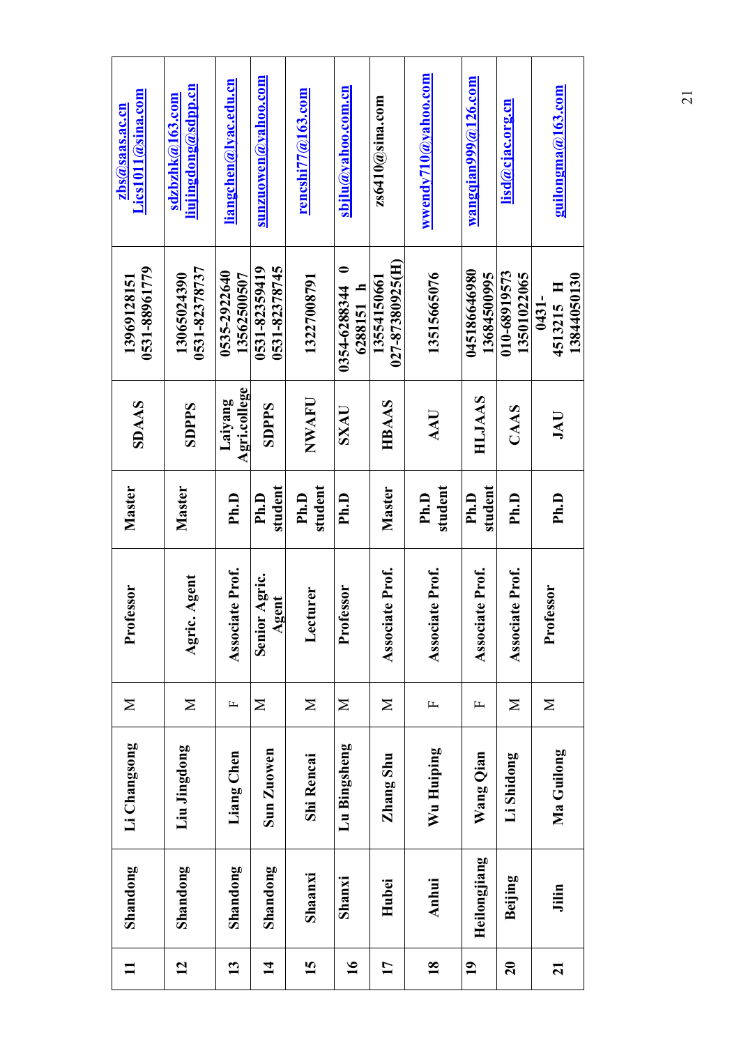| List011(a)sina.com<br>$zbs(a)$ saas.ac.cn | <u>liujingdong@sdpp.cn</u><br>sdzbzhk@163.com | <u>liangchen@lyac.edu.cn</u> | sunzuowen $\left( a\right)$ yahoo.com                     | rencshi77@163.com | sbjlu@yahoo.com.cn                     | $z$ s6410 $@$ sina.com         | wwendy710 $@$ yahoo.com | wangqian $999@126$ .com     | lisd@cjac.org.cn            | guilongma@163.com                 |
|-------------------------------------------|-----------------------------------------------|------------------------------|-----------------------------------------------------------|-------------------|----------------------------------------|--------------------------------|-------------------------|-----------------------------|-----------------------------|-----------------------------------|
| 0531-88961779<br>13969128151              | 0531-82378737<br>13065024390                  | 0535-2922640<br>13562500507  | 0531-82378745<br>0531-82359419                            | 13227008791       | $\bullet$<br>6288151 h<br>0354-6288344 | 027-87380925(H)<br>13554150661 | 13515665076             | 045186646980<br>13684500995 | 010-68919573<br>13501022065 | 13844050130<br>4513215 H<br>0431- |
| <b>SDAAS</b>                              | SDPPS                                         | Agri.college<br>Laiyang      | <b>SDPPS</b>                                              | NWAFU             | SXAU                                   | HBAAS                          | AAU                     | HLJAAS                      | CAAS                        | JAU                               |
| Master                                    | Master                                        | Ph.D                         | student<br>Ph.D                                           | student<br>Ph.D   | Ph.D                                   | Master                         | student<br>Ph.D         | student<br>Ph.D             | Ph.D                        | Ph.D                              |
| Professor                                 | Agent<br>Agric.                               | te Prof.<br>Associat         | Agric.<br><b>Fure</b><br>$\mathbf{A}\mathbf{g}$<br>Senior | Lecturer          | Professor                              | te Prof.<br>Associat           | te Prof.<br>Associat    | te Prof.<br><b>Associa</b>  | te Prof.<br>Associat        | <b>Professor</b>                  |
| $\geq$                                    | $\geq$                                        | щ                            | $\mathbf{\Sigma}$                                         | $\geq$            | $\mathbf{N}$                           | $\mathbf{\Sigma}$              | $\mathbf{L}$            | 山                           | $\geq$                      | $\geq$                            |
| Li Changsong                              | Liu Jingdong                                  | Liang Chen                   | Sun Zuowen                                                | <b>Shi Rencai</b> | Lu Bingsheng                           | Zhang Shu                      | Wu Huiping              | Wang Qian                   | Li Shidong                  | Ma Guilong                        |
| Shandong                                  | Shandong                                      | Shandong                     | Shandong                                                  | Shaanxi           | Shanxi                                 | Hubei                          | Anhui                   | Heilongjiang                | <b>Beijing</b>              | Jilin                             |
|                                           | 12                                            | $\mathbf{13}$                | $\mathbf{\overline{4}}$                                   | 15                | $\overline{\mathbf{16}}$               | 17                             | $\overline{18}$         | $\overline{19}$             | $\mathbf{S}$                | $\overline{z}$                    |

21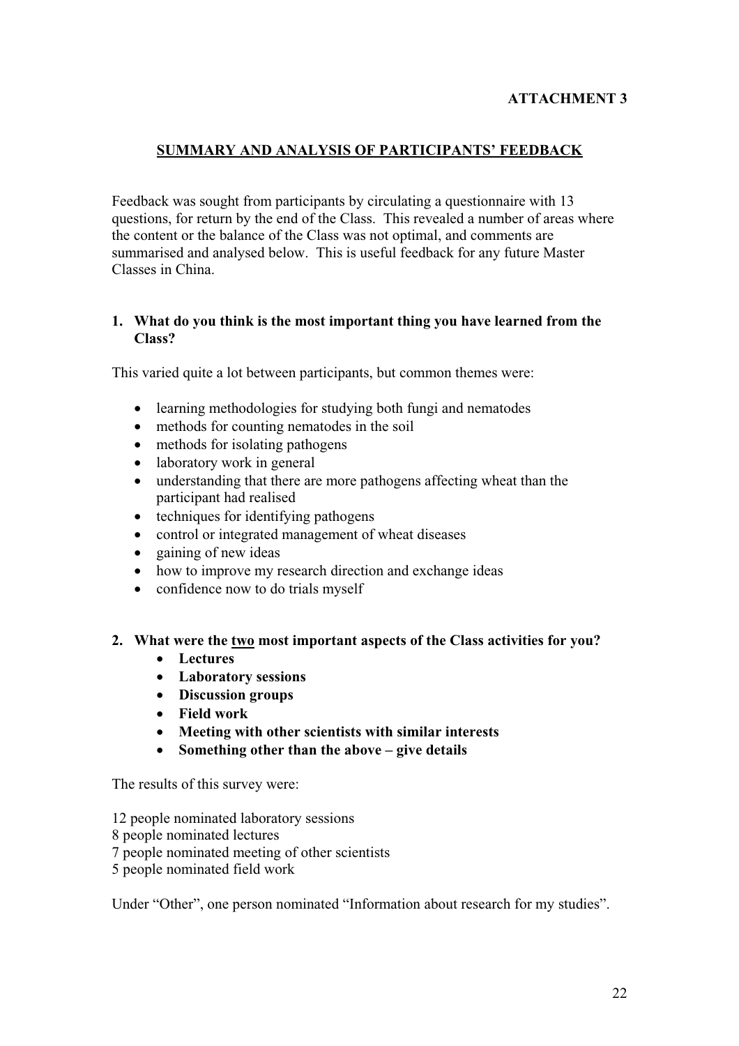## **ATTACHMENT 3**

### **SUMMARY AND ANALYSIS OF PARTICIPANTS' FEEDBACK**

Feedback was sought from participants by circulating a questionnaire with 13 questions, for return by the end of the Class. This revealed a number of areas where the content or the balance of the Class was not optimal, and comments are summarised and analysed below. This is useful feedback for any future Master Classes in China.

### **1. What do you think is the most important thing you have learned from the Class?**

This varied quite a lot between participants, but common themes were:

- $\bullet$  learning methodologies for studying both fungi and nematodes
- $\bullet$  methods for counting nematodes in the soil
- $\bullet$  methods for isolating pathogens
- $\bullet$  laboratory work in general
- understanding that there are more pathogens affecting wheat than the participant had realised
- $\bullet$  techniques for identifying pathogens
- control or integrated management of wheat diseases
- $\bullet$  gaining of new ideas
- how to improve my research direction and exchange ideas
- $\bullet$  confidence now to do trials myself

#### **2. What were the two most important aspects of the Class activities for you?**

- Lectures
- x **Laboratory sessions**
- **•** Discussion groups
- x **Field work**
- x **Meeting with other scientists with similar interests**
- Something other than the above give details

The results of this survey were:

12 people nominated laboratory sessions

- 8 people nominated lectures
- 7 people nominated meeting of other scientists
- 5 people nominated field work

Under "Other", one person nominated "Information about research for my studies".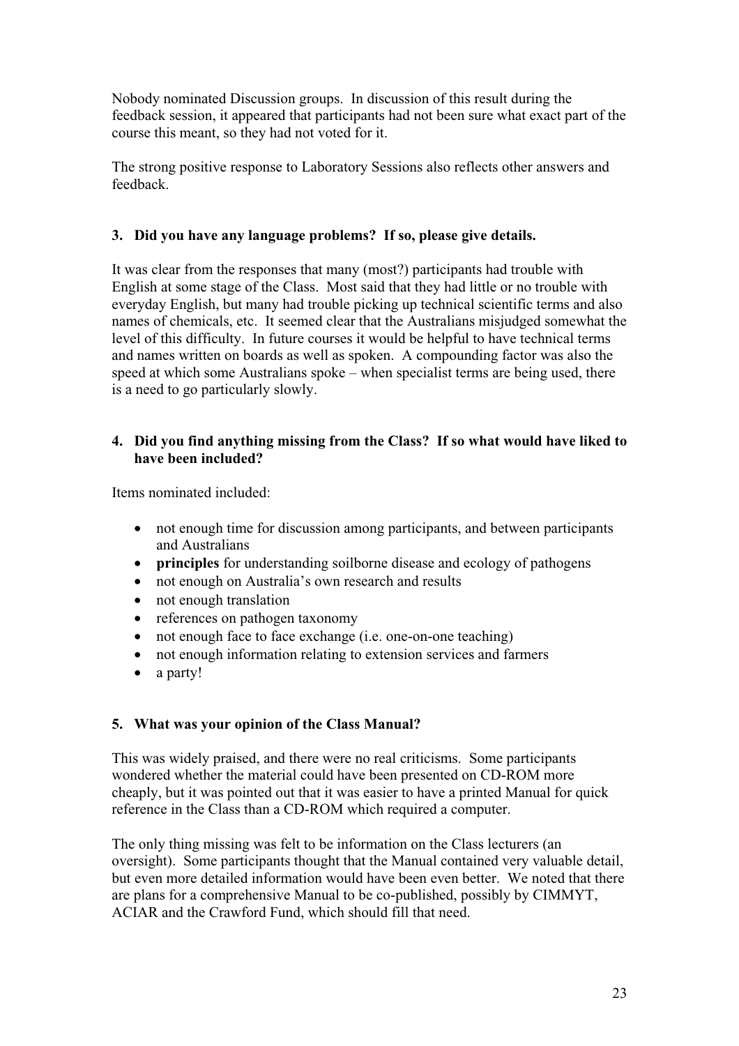Nobody nominated Discussion groups. In discussion of this result during the feedback session, it appeared that participants had not been sure what exact part of the course this meant, so they had not voted for it.

The strong positive response to Laboratory Sessions also reflects other answers and feedback.

### **3. Did you have any language problems? If so, please give details.**

It was clear from the responses that many (most?) participants had trouble with English at some stage of the Class. Most said that they had little or no trouble with everyday English, but many had trouble picking up technical scientific terms and also names of chemicals, etc. It seemed clear that the Australians misjudged somewhat the level of this difficulty. In future courses it would be helpful to have technical terms and names written on boards as well as spoken. A compounding factor was also the speed at which some Australians spoke – when specialist terms are being used, there is a need to go particularly slowly.

### **4. Did you find anything missing from the Class? If so what would have liked to have been included?**

Items nominated included:

- not enough time for discussion among participants, and between participants and Australians
- **principles** for understanding soilborne disease and ecology of pathogens
- not enough on Australia's own research and results
- $\bullet$  not enough translation
- references on pathogen taxonomy
- $\bullet$  not enough face to face exchange (i.e. one-on-one teaching)
- not enough information relating to extension services and farmers
- $\bullet$  a party!

# **5. What was your opinion of the Class Manual?**

This was widely praised, and there were no real criticisms. Some participants wondered whether the material could have been presented on CD-ROM more cheaply, but it was pointed out that it was easier to have a printed Manual for quick reference in the Class than a CD-ROM which required a computer.

The only thing missing was felt to be information on the Class lecturers (an oversight). Some participants thought that the Manual contained very valuable detail, but even more detailed information would have been even better. We noted that there are plans for a comprehensive Manual to be co-published, possibly by CIMMYT, ACIAR and the Crawford Fund, which should fill that need.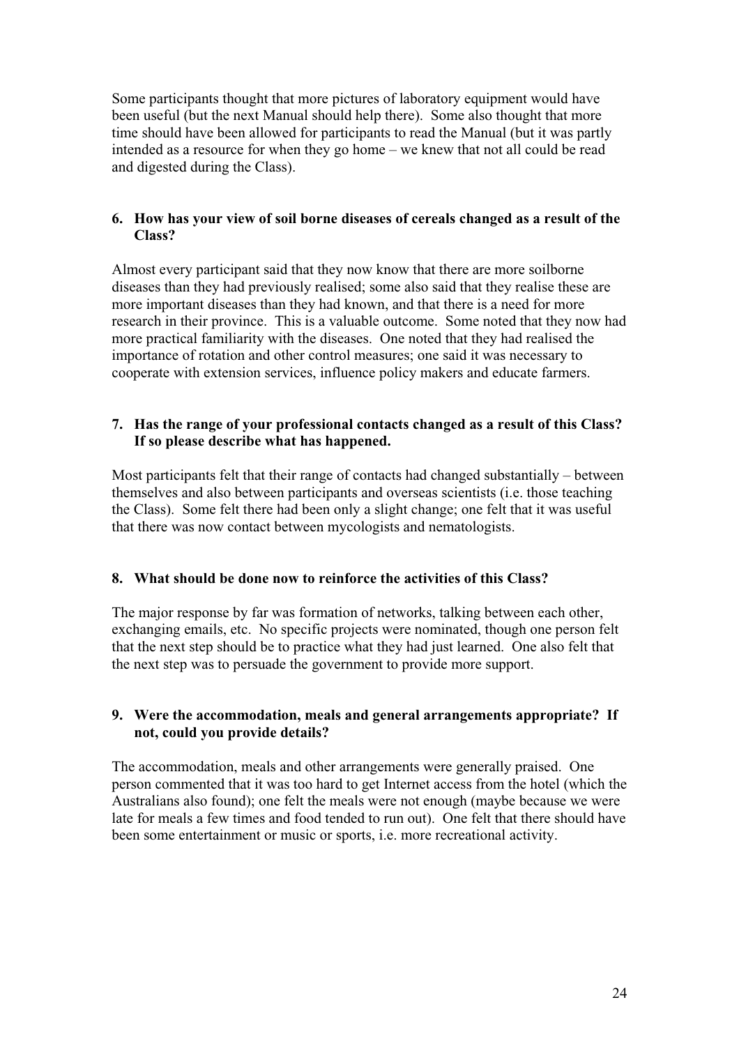Some participants thought that more pictures of laboratory equipment would have been useful (but the next Manual should help there). Some also thought that more time should have been allowed for participants to read the Manual (but it was partly intended as a resource for when they go home – we knew that not all could be read and digested during the Class).

### **6. How has your view of soil borne diseases of cereals changed as a result of the Class?**

Almost every participant said that they now know that there are more soilborne diseases than they had previously realised; some also said that they realise these are more important diseases than they had known, and that there is a need for more research in their province. This is a valuable outcome. Some noted that they now had more practical familiarity with the diseases. One noted that they had realised the importance of rotation and other control measures; one said it was necessary to cooperate with extension services, influence policy makers and educate farmers.

### **7. Has the range of your professional contacts changed as a result of this Class? If so please describe what has happened.**

Most participants felt that their range of contacts had changed substantially – between themselves and also between participants and overseas scientists (i.e. those teaching the Class). Some felt there had been only a slight change; one felt that it was useful that there was now contact between mycologists and nematologists.

### **8. What should be done now to reinforce the activities of this Class?**

The major response by far was formation of networks, talking between each other, exchanging emails, etc. No specific projects were nominated, though one person felt that the next step should be to practice what they had just learned. One also felt that the next step was to persuade the government to provide more support.

### **9. Were the accommodation, meals and general arrangements appropriate? If not, could you provide details?**

The accommodation, meals and other arrangements were generally praised. One person commented that it was too hard to get Internet access from the hotel (which the Australians also found); one felt the meals were not enough (maybe because we were late for meals a few times and food tended to run out). One felt that there should have been some entertainment or music or sports, i.e. more recreational activity.